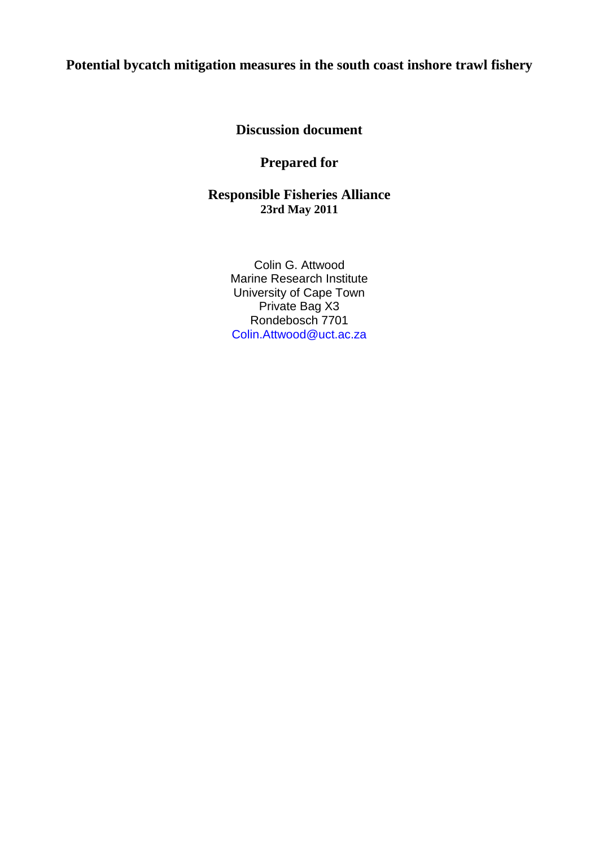## **Potential bycatch mitigation measures in the south coast inshore trawl fishery**

**Discussion document**

## **Prepared for**

**Responsible Fisheries Alliance 23rd May 2011**

> Colin G. Attwood Marine Research Institute University of Cape Town Private Bag X3 Rondebosch 7701 Colin.Attwood@uct.ac.za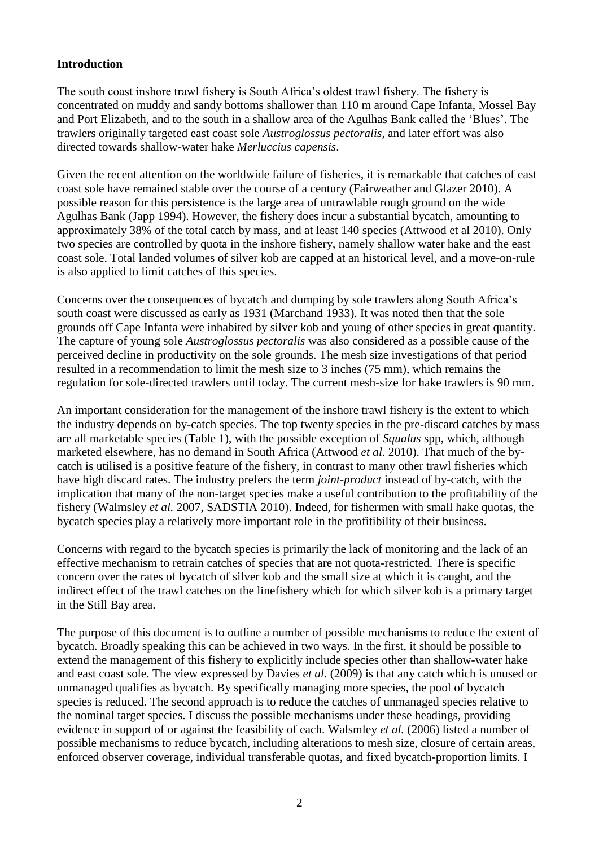## **Introduction**

The south coast inshore trawl fishery is South Africa's oldest trawl fishery. The fishery is concentrated on muddy and sandy bottoms shallower than 110 m around Cape Infanta, Mossel Bay and Port Elizabeth, and to the south in a shallow area of the Agulhas Bank called the 'Blues'. The trawlers originally targeted east coast sole *Austroglossus pectoralis*, and later effort was also directed towards shallow-water hake *Merluccius capensis*.

Given the recent attention on the worldwide failure of fisheries, it is remarkable that catches of east coast sole have remained stable over the course of a century (Fairweather and Glazer 2010). A possible reason for this persistence is the large area of untrawlable rough ground on the wide Agulhas Bank (Japp 1994). However, the fishery does incur a substantial bycatch, amounting to approximately 38% of the total catch by mass, and at least 140 species (Attwood et al 2010). Only two species are controlled by quota in the inshore fishery, namely shallow water hake and the east coast sole. Total landed volumes of silver kob are capped at an historical level, and a move-on-rule is also applied to limit catches of this species.

Concerns over the consequences of bycatch and dumping by sole trawlers along South Africa's south coast were discussed as early as 1931 (Marchand 1933). It was noted then that the sole grounds off Cape Infanta were inhabited by silver kob and young of other species in great quantity. The capture of young sole *Austroglossus pectoralis* was also considered as a possible cause of the perceived decline in productivity on the sole grounds. The mesh size investigations of that period resulted in a recommendation to limit the mesh size to 3 inches (75 mm), which remains the regulation for sole-directed trawlers until today. The current mesh-size for hake trawlers is 90 mm.

An important consideration for the management of the inshore trawl fishery is the extent to which the industry depends on by-catch species. The top twenty species in the pre-discard catches by mass are all marketable species (Table 1), with the possible exception of *Squalus* spp, which, although marketed elsewhere, has no demand in South Africa (Attwood *et al.* 2010). That much of the bycatch is utilised is a positive feature of the fishery, in contrast to many other trawl fisheries which have high discard rates. The industry prefers the term *joint-product* instead of by-catch, with the implication that many of the non-target species make a useful contribution to the profitability of the fishery (Walmsley *et al.* 2007, SADSTIA 2010). Indeed, for fishermen with small hake quotas, the bycatch species play a relatively more important role in the profitibility of their business.

Concerns with regard to the bycatch species is primarily the lack of monitoring and the lack of an effective mechanism to retrain catches of species that are not quota-restricted. There is specific concern over the rates of bycatch of silver kob and the small size at which it is caught, and the indirect effect of the trawl catches on the linefishery which for which silver kob is a primary target in the Still Bay area.

The purpose of this document is to outline a number of possible mechanisms to reduce the extent of bycatch. Broadly speaking this can be achieved in two ways. In the first, it should be possible to extend the management of this fishery to explicitly include species other than shallow-water hake and east coast sole. The view expressed by Davies *et al.* (2009) is that any catch which is unused or unmanaged qualifies as bycatch. By specifically managing more species, the pool of bycatch species is reduced. The second approach is to reduce the catches of unmanaged species relative to the nominal target species. I discuss the possible mechanisms under these headings, providing evidence in support of or against the feasibility of each. Walsmley *et al.* (2006) listed a number of possible mechanisms to reduce bycatch, including alterations to mesh size, closure of certain areas, enforced observer coverage, individual transferable quotas, and fixed bycatch-proportion limits. I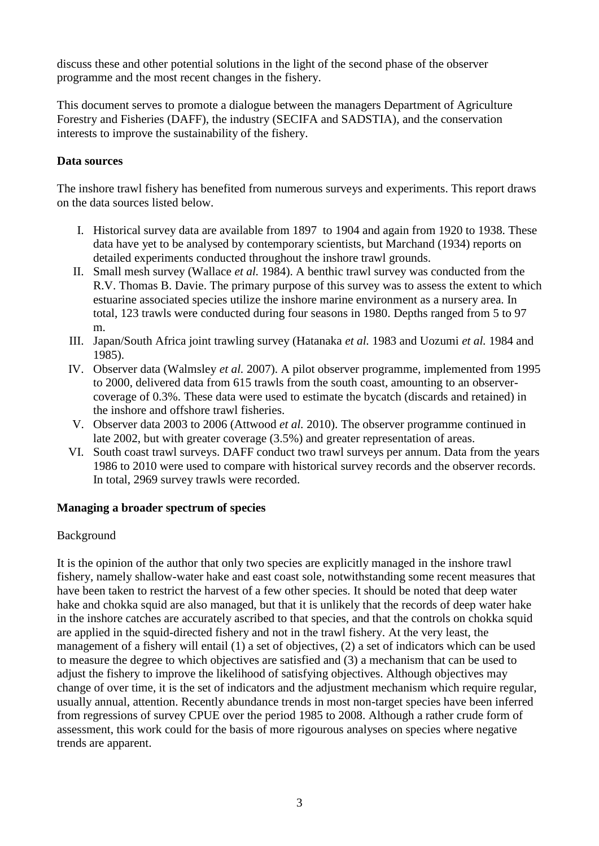discuss these and other potential solutions in the light of the second phase of the observer programme and the most recent changes in the fishery.

This document serves to promote a dialogue between the managers Department of Agriculture Forestry and Fisheries (DAFF), the industry (SECIFA and SADSTIA), and the conservation interests to improve the sustainability of the fishery.

## **Data sources**

The inshore trawl fishery has benefited from numerous surveys and experiments. This report draws on the data sources listed below.

- I. Historical survey data are available from 1897 to 1904 and again from 1920 to 1938. These data have yet to be analysed by contemporary scientists, but Marchand (1934) reports on detailed experiments conducted throughout the inshore trawl grounds.
- II. Small mesh survey (Wallace *et al.* 1984). A benthic trawl survey was conducted from the R.V. Thomas B. Davie. The primary purpose of this survey was to assess the extent to which estuarine associated species utilize the inshore marine environment as a nursery area. In total, 123 trawls were conducted during four seasons in 1980. Depths ranged from 5 to 97 m.
- III. Japan/South Africa joint trawling survey (Hatanaka *et al.* 1983 and Uozumi *et al.* 1984 and 1985).
- IV. Observer data (Walmsley *et al.* 2007). A pilot observer programme, implemented from 1995 to 2000, delivered data from 615 trawls from the south coast, amounting to an observercoverage of 0.3%. These data were used to estimate the bycatch (discards and retained) in the inshore and offshore trawl fisheries.
- V. Observer data 2003 to 2006 (Attwood *et al.* 2010). The observer programme continued in late 2002, but with greater coverage (3.5%) and greater representation of areas.
- VI. South coast trawl surveys. DAFF conduct two trawl surveys per annum. Data from the years 1986 to 2010 were used to compare with historical survey records and the observer records. In total, 2969 survey trawls were recorded.

## **Managing a broader spectrum of species**

## Background

It is the opinion of the author that only two species are explicitly managed in the inshore trawl fishery, namely shallow-water hake and east coast sole, notwithstanding some recent measures that have been taken to restrict the harvest of a few other species. It should be noted that deep water hake and chokka squid are also managed, but that it is unlikely that the records of deep water hake in the inshore catches are accurately ascribed to that species, and that the controls on chokka squid are applied in the squid-directed fishery and not in the trawl fishery. At the very least, the management of a fishery will entail (1) a set of objectives, (2) a set of indicators which can be used to measure the degree to which objectives are satisfied and (3) a mechanism that can be used to adjust the fishery to improve the likelihood of satisfying objectives. Although objectives may change of over time, it is the set of indicators and the adjustment mechanism which require regular, usually annual, attention. Recently abundance trends in most non-target species have been inferred from regressions of survey CPUE over the period 1985 to 2008. Although a rather crude form of assessment, this work could for the basis of more rigourous analyses on species where negative trends are apparent.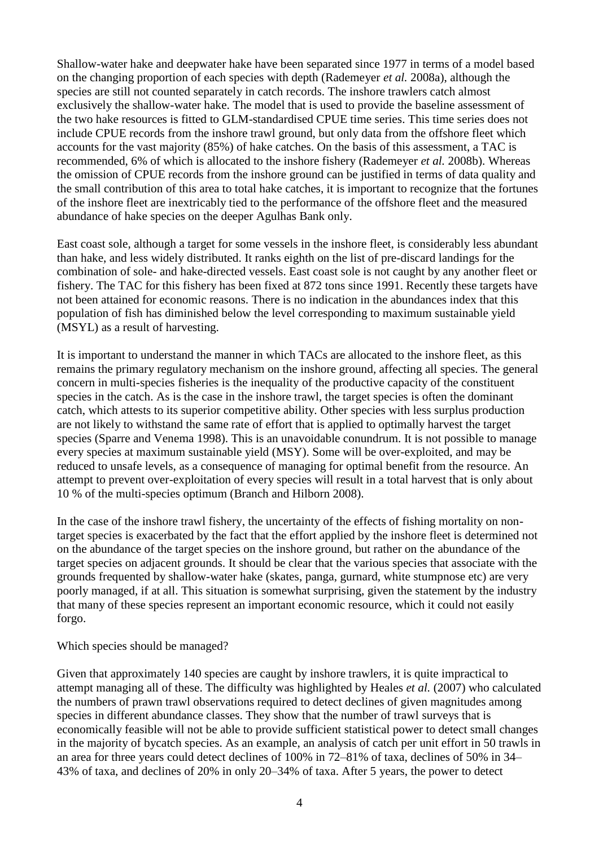Shallow-water hake and deepwater hake have been separated since 1977 in terms of a model based on the changing proportion of each species with depth (Rademeyer *et al.* 2008a), although the species are still not counted separately in catch records. The inshore trawlers catch almost exclusively the shallow-water hake. The model that is used to provide the baseline assessment of the two hake resources is fitted to GLM-standardised CPUE time series. This time series does not include CPUE records from the inshore trawl ground, but only data from the offshore fleet which accounts for the vast majority (85%) of hake catches. On the basis of this assessment, a TAC is recommended, 6% of which is allocated to the inshore fishery (Rademeyer *et al.* 2008b). Whereas the omission of CPUE records from the inshore ground can be justified in terms of data quality and the small contribution of this area to total hake catches, it is important to recognize that the fortunes of the inshore fleet are inextricably tied to the performance of the offshore fleet and the measured abundance of hake species on the deeper Agulhas Bank only.

East coast sole, although a target for some vessels in the inshore fleet, is considerably less abundant than hake, and less widely distributed. It ranks eighth on the list of pre-discard landings for the combination of sole- and hake-directed vessels. East coast sole is not caught by any another fleet or fishery. The TAC for this fishery has been fixed at 872 tons since 1991. Recently these targets have not been attained for economic reasons. There is no indication in the abundances index that this population of fish has diminished below the level corresponding to maximum sustainable yield (MSYL) as a result of harvesting.

It is important to understand the manner in which TACs are allocated to the inshore fleet, as this remains the primary regulatory mechanism on the inshore ground, affecting all species. The general concern in multi-species fisheries is the inequality of the productive capacity of the constituent species in the catch. As is the case in the inshore trawl, the target species is often the dominant catch, which attests to its superior competitive ability. Other species with less surplus production are not likely to withstand the same rate of effort that is applied to optimally harvest the target species (Sparre and Venema 1998). This is an unavoidable conundrum. It is not possible to manage every species at maximum sustainable yield (MSY). Some will be over-exploited, and may be reduced to unsafe levels, as a consequence of managing for optimal benefit from the resource. An attempt to prevent over-exploitation of every species will result in a total harvest that is only about 10 % of the multi-species optimum (Branch and Hilborn 2008).

In the case of the inshore trawl fishery, the uncertainty of the effects of fishing mortality on nontarget species is exacerbated by the fact that the effort applied by the inshore fleet is determined not on the abundance of the target species on the inshore ground, but rather on the abundance of the target species on adjacent grounds. It should be clear that the various species that associate with the grounds frequented by shallow-water hake (skates, panga, gurnard, white stumpnose etc) are very poorly managed, if at all. This situation is somewhat surprising, given the statement by the industry that many of these species represent an important economic resource, which it could not easily forgo.

Which species should be managed?

Given that approximately 140 species are caught by inshore trawlers, it is quite impractical to attempt managing all of these. The difficulty was highlighted by Heales *et al.* (2007) who calculated the numbers of prawn trawl observations required to detect declines of given magnitudes among species in different abundance classes. They show that the number of trawl surveys that is economically feasible will not be able to provide sufficient statistical power to detect small changes in the majority of bycatch species. As an example, an analysis of catch per unit effort in 50 trawls in an area for three years could detect declines of 100% in 72–81% of taxa, declines of 50% in 34– 43% of taxa, and declines of 20% in only 20–34% of taxa. After 5 years, the power to detect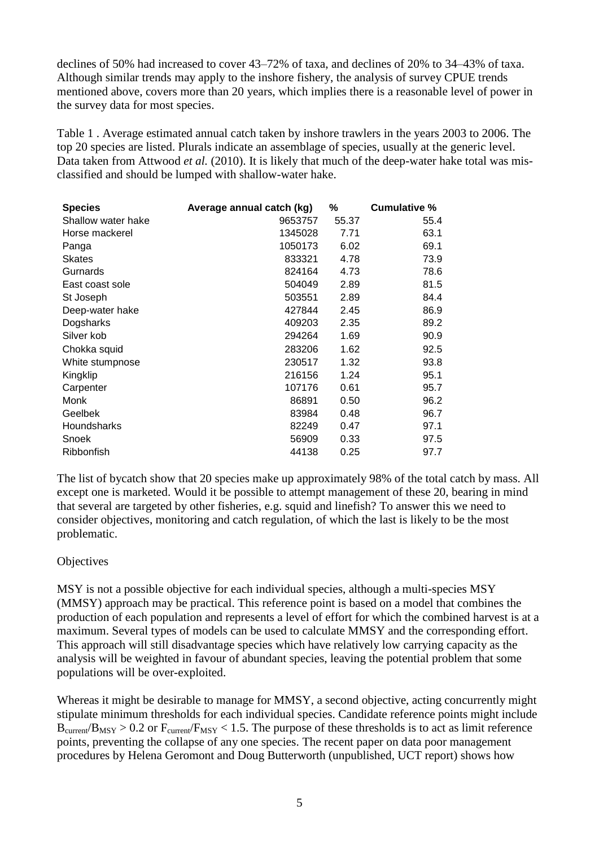declines of 50% had increased to cover 43–72% of taxa, and declines of 20% to 34–43% of taxa. Although similar trends may apply to the inshore fishery, the analysis of survey CPUE trends mentioned above, covers more than 20 years, which implies there is a reasonable level of power in the survey data for most species.

Table 1 . Average estimated annual catch taken by inshore trawlers in the years 2003 to 2006. The top 20 species are listed. Plurals indicate an assemblage of species, usually at the generic level. Data taken from Attwood *et al.* (2010). It is likely that much of the deep-water hake total was misclassified and should be lumped with shallow-water hake.

| <b>Species</b>     | Average annual catch (kg) | %     | Cumulative % |
|--------------------|---------------------------|-------|--------------|
| Shallow water hake | 9653757                   | 55.37 | 55.4         |
| Horse mackerel     | 1345028                   | 7.71  | 63.1         |
| Panga              | 1050173                   | 6.02  | 69.1         |
| Skates             | 833321                    | 4.78  | 73.9         |
| Gurnards           | 824164                    | 4.73  | 78.6         |
| East coast sole    | 504049                    | 2.89  | 81.5         |
| St Joseph          | 503551                    | 2.89  | 84.4         |
| Deep-water hake    | 427844                    | 2.45  | 86.9         |
| Dogsharks          | 409203                    | 2.35  | 89.2         |
| Silver kob         | 294264                    | 1.69  | 90.9         |
| Chokka squid       | 283206                    | 1.62  | 92.5         |
| White stumpnose    | 230517                    | 1.32  | 93.8         |
| Kingklip           | 216156                    | 1.24  | 95.1         |
| Carpenter          | 107176                    | 0.61  | 95.7         |
| Monk               | 86891                     | 0.50  | 96.2         |
| Geelbek            | 83984                     | 0.48  | 96.7         |
| <b>Houndsharks</b> | 82249                     | 0.47  | 97.1         |
| Snoek              | 56909                     | 0.33  | 97.5         |
| Ribbonfish         | 44138                     | 0.25  | 97.7         |

The list of bycatch show that 20 species make up approximately 98% of the total catch by mass. All except one is marketed. Would it be possible to attempt management of these 20, bearing in mind that several are targeted by other fisheries, e.g. squid and linefish? To answer this we need to consider objectives, monitoring and catch regulation, of which the last is likely to be the most problematic.

## **Objectives**

MSY is not a possible objective for each individual species, although a multi-species MSY (MMSY) approach may be practical. This reference point is based on a model that combines the production of each population and represents a level of effort for which the combined harvest is at a maximum. Several types of models can be used to calculate MMSY and the corresponding effort. This approach will still disadvantage species which have relatively low carrying capacity as the analysis will be weighted in favour of abundant species, leaving the potential problem that some populations will be over-exploited.

Whereas it might be desirable to manage for MMSY, a second objective, acting concurrently might stipulate minimum thresholds for each individual species. Candidate reference points might include  $B_{\text{current}}/B_{\text{MSY}} > 0.2$  or  $F_{\text{current}}/F_{\text{MSY}} < 1.5$ . The purpose of these thresholds is to act as limit reference points, preventing the collapse of any one species. The recent paper on data poor management procedures by Helena Geromont and Doug Butterworth (unpublished, UCT report) shows how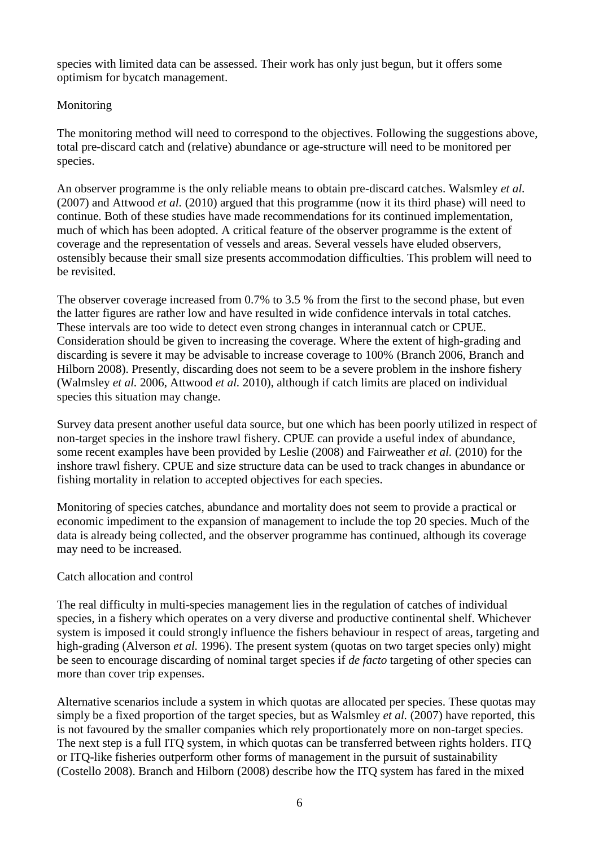species with limited data can be assessed. Their work has only just begun, but it offers some optimism for bycatch management.

## Monitoring

The monitoring method will need to correspond to the objectives. Following the suggestions above, total pre-discard catch and (relative) abundance or age-structure will need to be monitored per species.

An observer programme is the only reliable means to obtain pre-discard catches. Walsmley *et al.* (2007) and Attwood *et al.* (2010) argued that this programme (now it its third phase) will need to continue. Both of these studies have made recommendations for its continued implementation, much of which has been adopted. A critical feature of the observer programme is the extent of coverage and the representation of vessels and areas. Several vessels have eluded observers, ostensibly because their small size presents accommodation difficulties. This problem will need to be revisited.

The observer coverage increased from 0.7% to 3.5 % from the first to the second phase, but even the latter figures are rather low and have resulted in wide confidence intervals in total catches. These intervals are too wide to detect even strong changes in interannual catch or CPUE. Consideration should be given to increasing the coverage. Where the extent of high-grading and discarding is severe it may be advisable to increase coverage to 100% (Branch 2006, Branch and Hilborn 2008). Presently, discarding does not seem to be a severe problem in the inshore fishery (Walmsley *et al.* 2006, Attwood *et al.* 2010), although if catch limits are placed on individual species this situation may change.

Survey data present another useful data source, but one which has been poorly utilized in respect of non-target species in the inshore trawl fishery. CPUE can provide a useful index of abundance, some recent examples have been provided by Leslie (2008) and Fairweather *et al.* (2010) for the inshore trawl fishery. CPUE and size structure data can be used to track changes in abundance or fishing mortality in relation to accepted objectives for each species.

Monitoring of species catches, abundance and mortality does not seem to provide a practical or economic impediment to the expansion of management to include the top 20 species. Much of the data is already being collected, and the observer programme has continued, although its coverage may need to be increased.

## Catch allocation and control

The real difficulty in multi-species management lies in the regulation of catches of individual species, in a fishery which operates on a very diverse and productive continental shelf. Whichever system is imposed it could strongly influence the fishers behaviour in respect of areas, targeting and high-grading (Alverson *et al.* 1996). The present system (quotas on two target species only) might be seen to encourage discarding of nominal target species if *de facto* targeting of other species can more than cover trip expenses.

Alternative scenarios include a system in which quotas are allocated per species. These quotas may simply be a fixed proportion of the target species, but as Walsmley *et al.* (2007) have reported, this is not favoured by the smaller companies which rely proportionately more on non-target species. The next step is a full ITQ system, in which quotas can be transferred between rights holders. ITQ or ITQ-like fisheries outperform other forms of management in the pursuit of sustainability (Costello 2008). Branch and Hilborn (2008) describe how the ITQ system has fared in the mixed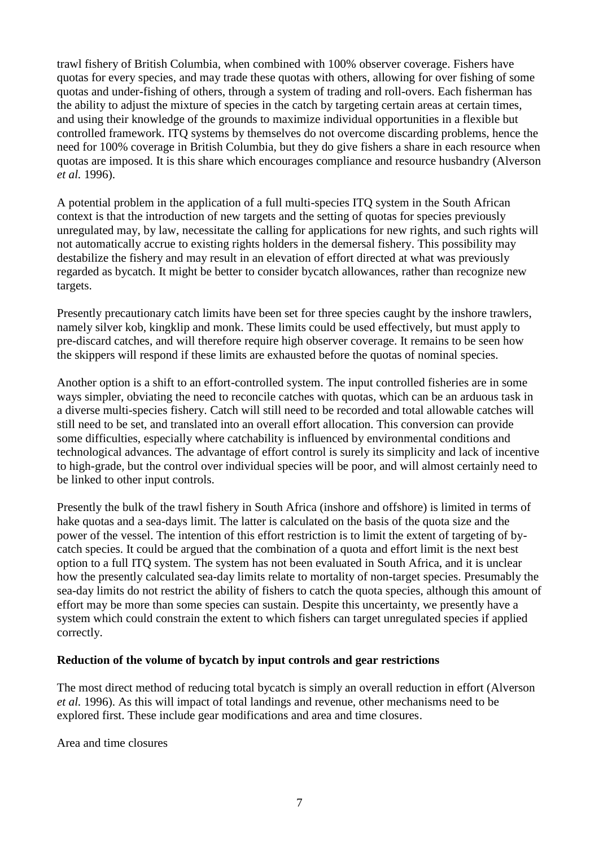trawl fishery of British Columbia, when combined with 100% observer coverage. Fishers have quotas for every species, and may trade these quotas with others, allowing for over fishing of some quotas and under-fishing of others, through a system of trading and roll-overs. Each fisherman has the ability to adjust the mixture of species in the catch by targeting certain areas at certain times, and using their knowledge of the grounds to maximize individual opportunities in a flexible but controlled framework. ITQ systems by themselves do not overcome discarding problems, hence the need for 100% coverage in British Columbia, but they do give fishers a share in each resource when quotas are imposed. It is this share which encourages compliance and resource husbandry (Alverson *et al.* 1996).

A potential problem in the application of a full multi-species ITQ system in the South African context is that the introduction of new targets and the setting of quotas for species previously unregulated may, by law, necessitate the calling for applications for new rights, and such rights will not automatically accrue to existing rights holders in the demersal fishery. This possibility may destabilize the fishery and may result in an elevation of effort directed at what was previously regarded as bycatch. It might be better to consider bycatch allowances, rather than recognize new targets.

Presently precautionary catch limits have been set for three species caught by the inshore trawlers, namely silver kob, kingklip and monk. These limits could be used effectively, but must apply to pre-discard catches, and will therefore require high observer coverage. It remains to be seen how the skippers will respond if these limits are exhausted before the quotas of nominal species.

Another option is a shift to an effort-controlled system. The input controlled fisheries are in some ways simpler, obviating the need to reconcile catches with quotas, which can be an arduous task in a diverse multi-species fishery. Catch will still need to be recorded and total allowable catches will still need to be set, and translated into an overall effort allocation. This conversion can provide some difficulties, especially where catchability is influenced by environmental conditions and technological advances. The advantage of effort control is surely its simplicity and lack of incentive to high-grade, but the control over individual species will be poor, and will almost certainly need to be linked to other input controls.

Presently the bulk of the trawl fishery in South Africa (inshore and offshore) is limited in terms of hake quotas and a sea-days limit. The latter is calculated on the basis of the quota size and the power of the vessel. The intention of this effort restriction is to limit the extent of targeting of bycatch species. It could be argued that the combination of a quota and effort limit is the next best option to a full ITQ system. The system has not been evaluated in South Africa, and it is unclear how the presently calculated sea-day limits relate to mortality of non-target species. Presumably the sea-day limits do not restrict the ability of fishers to catch the quota species, although this amount of effort may be more than some species can sustain. Despite this uncertainty, we presently have a system which could constrain the extent to which fishers can target unregulated species if applied correctly.

## **Reduction of the volume of bycatch by input controls and gear restrictions**

The most direct method of reducing total bycatch is simply an overall reduction in effort (Alverson *et al.* 1996). As this will impact of total landings and revenue, other mechanisms need to be explored first. These include gear modifications and area and time closures.

Area and time closures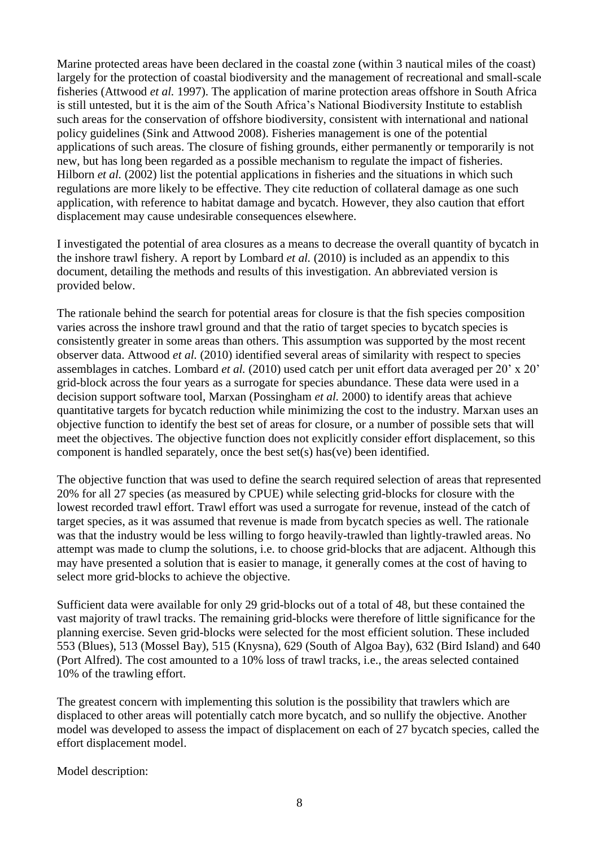Marine protected areas have been declared in the coastal zone (within 3 nautical miles of the coast) largely for the protection of coastal biodiversity and the management of recreational and small-scale fisheries (Attwood *et al.* 1997). The application of marine protection areas offshore in South Africa is still untested, but it is the aim of the South Africa's National Biodiversity Institute to establish such areas for the conservation of offshore biodiversity, consistent with international and national policy guidelines (Sink and Attwood 2008). Fisheries management is one of the potential applications of such areas. The closure of fishing grounds, either permanently or temporarily is not new, but has long been regarded as a possible mechanism to regulate the impact of fisheries. Hilborn *et al.* (2002) list the potential applications in fisheries and the situations in which such regulations are more likely to be effective. They cite reduction of collateral damage as one such application, with reference to habitat damage and bycatch. However, they also caution that effort displacement may cause undesirable consequences elsewhere.

I investigated the potential of area closures as a means to decrease the overall quantity of bycatch in the inshore trawl fishery. A report by Lombard *et al.* (2010) is included as an appendix to this document, detailing the methods and results of this investigation. An abbreviated version is provided below.

The rationale behind the search for potential areas for closure is that the fish species composition varies across the inshore trawl ground and that the ratio of target species to bycatch species is consistently greater in some areas than others. This assumption was supported by the most recent observer data. Attwood *et al.* (2010) identified several areas of similarity with respect to species assemblages in catches. Lombard *et al.* (2010) used catch per unit effort data averaged per 20' x 20' grid-block across the four years as a surrogate for species abundance. These data were used in a decision support software tool, Marxan (Possingham *et al.* 2000) to identify areas that achieve quantitative targets for bycatch reduction while minimizing the cost to the industry. Marxan uses an objective function to identify the best set of areas for closure, or a number of possible sets that will meet the objectives. The objective function does not explicitly consider effort displacement, so this component is handled separately, once the best set(s) has(ve) been identified.

The objective function that was used to define the search required selection of areas that represented 20% for all 27 species (as measured by CPUE) while selecting grid-blocks for closure with the lowest recorded trawl effort. Trawl effort was used a surrogate for revenue, instead of the catch of target species, as it was assumed that revenue is made from bycatch species as well. The rationale was that the industry would be less willing to forgo heavily-trawled than lightly-trawled areas. No attempt was made to clump the solutions, i.e. to choose grid-blocks that are adjacent. Although this may have presented a solution that is easier to manage, it generally comes at the cost of having to select more grid-blocks to achieve the objective.

Sufficient data were available for only 29 grid-blocks out of a total of 48, but these contained the vast majority of trawl tracks. The remaining grid-blocks were therefore of little significance for the planning exercise. Seven grid-blocks were selected for the most efficient solution. These included 553 (Blues), 513 (Mossel Bay), 515 (Knysna), 629 (South of Algoa Bay), 632 (Bird Island) and 640 (Port Alfred). The cost amounted to a 10% loss of trawl tracks, i.e., the areas selected contained 10% of the trawling effort.

The greatest concern with implementing this solution is the possibility that trawlers which are displaced to other areas will potentially catch more bycatch, and so nullify the objective. Another model was developed to assess the impact of displacement on each of 27 bycatch species, called the effort displacement model.

Model description: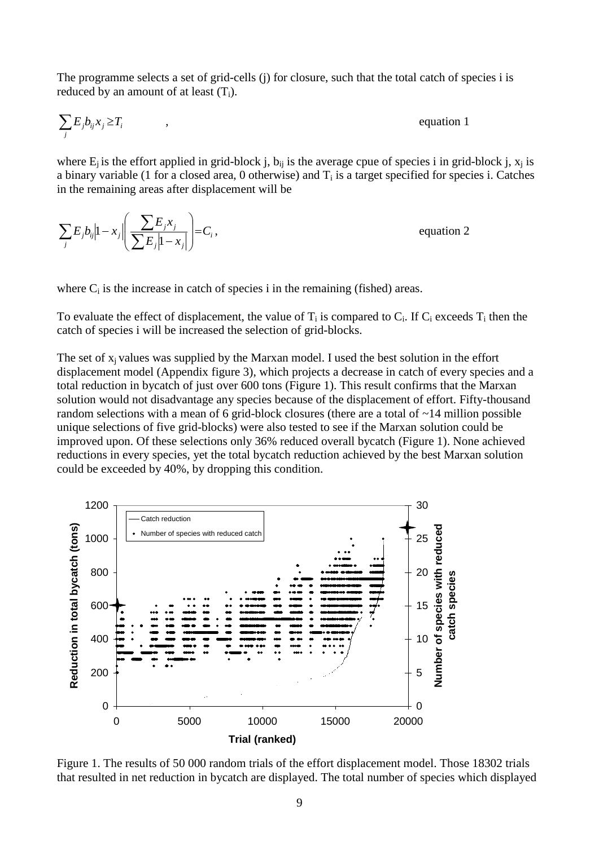The programme selects a set of grid-cells (j) for closure, such that the total catch of species i is reduced by an amount of at least  $(T_i)$ .

$$
\sum_{j} E_j b_{ij} x_j \ge T_i \qquad , \qquad \qquad ,
$$
 equation 1

where  $E_i$  is the effort applied in grid-block j,  $b_{ij}$  is the average cpue of species i in grid-block j,  $x_j$  is a binary variable (1 for a closed area, 0 otherwise) and  $T_i$  is a target specified for species i. Catches in the remaining areas after displacement will be

*i*  $j$   $\uparrow$   $\sim$  *j j j*  $\hat{y}$   $\begin{bmatrix} 1 & x_j \end{bmatrix}$ *j*  $\sum_{j}^{j} b_{ij} |1-x_j| \left( \frac{\sum_{i}^{j} - j \cdot y_{j}}{\sum_{i}^{j} |1-x_i|} \right) = C$  $E_{i}x$  $E_j b_{ij}$   $\left|1 - x_j\right| \left| \frac{\sum_{j} x_{j} x_{j}}{\sum_{j} E_j |1 - x_j|} \right| =$  $\overline{\phantom{a}}$  $\bigg)$  $\setminus$  $\mathbf{I}$ I  $\setminus$ ſ - $\sum_j E_j b_{ij} |1-x_j| \left( \frac{\sum E_j}{\sum E_j |1} \right)$  $\left|1 - x_i\right| \left| \frac{\sum f^{-1}}{\sum f^{-1}} \right| = C_i,$  equation 2

where  $C_i$  is the increase in catch of species i in the remaining (fished) areas.

To evaluate the effect of displacement, the value of  $T_i$  is compared to  $C_i$ . If  $C_i$  exceeds  $T_i$  then the catch of species i will be increased the selection of grid-blocks.

The set of  $x_i$  values was supplied by the Marxan model. I used the best solution in the effort displacement model (Appendix figure 3), which projects a decrease in catch of every species and a total reduction in bycatch of just over 600 tons (Figure 1). This result confirms that the Marxan solution would not disadvantage any species because of the displacement of effort. Fifty-thousand random selections with a mean of 6 grid-block closures (there are a total of ~14 million possible unique selections of five grid-blocks) were also tested to see if the Marxan solution could be improved upon. Of these selections only 36% reduced overall bycatch (Figure 1). None achieved reductions in every species, yet the total bycatch reduction achieved by the best Marxan solution could be exceeded by 40%, by dropping this condition.



Figure 1. The results of 50 000 random trials of the effort displacement model. Those 18302 trials that resulted in net reduction in bycatch are displayed. The total number of species which displayed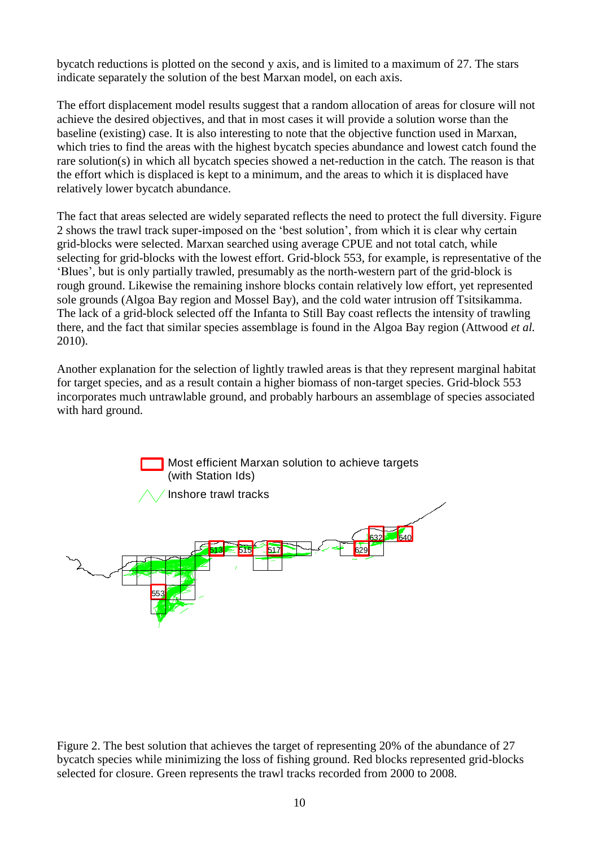bycatch reductions is plotted on the second y axis, and is limited to a maximum of 27. The stars indicate separately the solution of the best Marxan model, on each axis.

The effort displacement model results suggest that a random allocation of areas for closure will not achieve the desired objectives, and that in most cases it will provide a solution worse than the baseline (existing) case. It is also interesting to note that the objective function used in Marxan, which tries to find the areas with the highest bycatch species abundance and lowest catch found the rare solution(s) in which all bycatch species showed a net-reduction in the catch. The reason is that the effort which is displaced is kept to a minimum, and the areas to which it is displaced have relatively lower bycatch abundance.

The fact that areas selected are widely separated reflects the need to protect the full diversity. Figure 2 shows the trawl track super-imposed on the 'best solution', from which it is clear why certain grid-blocks were selected. Marxan searched using average CPUE and not total catch, while selecting for grid-blocks with the lowest effort. Grid-block 553, for example, is representative of the 'Blues', but is only partially trawled, presumably as the north-western part of the grid-block is rough ground. Likewise the remaining inshore blocks contain relatively low effort, yet represented sole grounds (Algoa Bay region and Mossel Bay), and the cold water intrusion off Tsitsikamma. The lack of a grid-block selected off the Infanta to Still Bay coast reflects the intensity of trawling there, and the fact that similar species assemblage is found in the Algoa Bay region (Attwood *et al.* 2010).

Another explanation for the selection of lightly trawled areas is that they represent marginal habitat for target species, and as a result contain a higher biomass of non-target species. Grid-block 553 incorporates much untrawlable ground, and probably harbours an assemblage of species associated with hard ground.



Figure 2. The best solution that achieves the target of representing 20% of the abundance of 27 bycatch species while minimizing the loss of fishing ground. Red blocks represented grid-blocks selected for closure. Green represents the trawl tracks recorded from 2000 to 2008.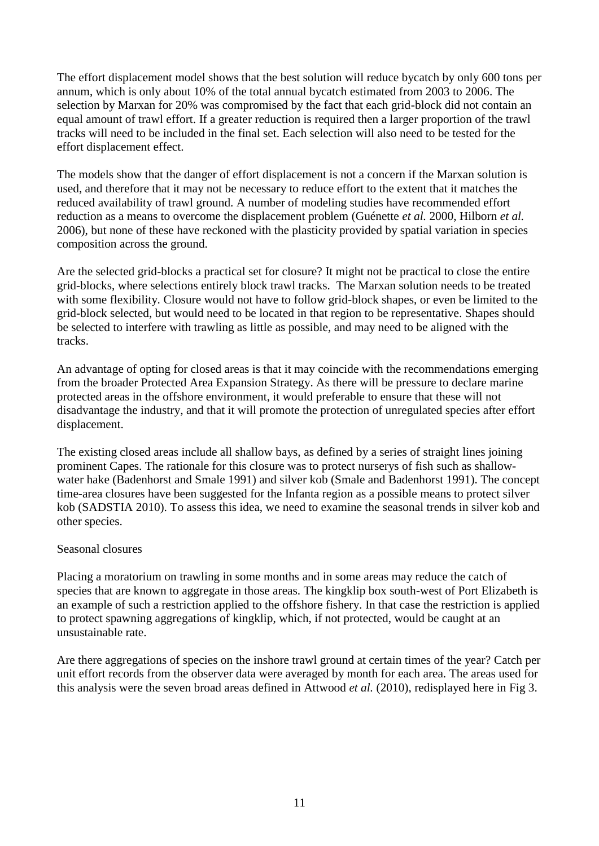The effort displacement model shows that the best solution will reduce bycatch by only 600 tons per annum, which is only about 10% of the total annual bycatch estimated from 2003 to 2006. The selection by Marxan for 20% was compromised by the fact that each grid-block did not contain an equal amount of trawl effort. If a greater reduction is required then a larger proportion of the trawl tracks will need to be included in the final set. Each selection will also need to be tested for the effort displacement effect.

The models show that the danger of effort displacement is not a concern if the Marxan solution is used, and therefore that it may not be necessary to reduce effort to the extent that it matches the reduced availability of trawl ground. A number of modeling studies have recommended effort reduction as a means to overcome the displacement problem (Guénette *et al.* 2000, Hilborn *et al.* 2006), but none of these have reckoned with the plasticity provided by spatial variation in species composition across the ground.

Are the selected grid-blocks a practical set for closure? It might not be practical to close the entire grid-blocks, where selections entirely block trawl tracks. The Marxan solution needs to be treated with some flexibility. Closure would not have to follow grid-block shapes, or even be limited to the grid-block selected, but would need to be located in that region to be representative. Shapes should be selected to interfere with trawling as little as possible, and may need to be aligned with the tracks.

An advantage of opting for closed areas is that it may coincide with the recommendations emerging from the broader Protected Area Expansion Strategy. As there will be pressure to declare marine protected areas in the offshore environment, it would preferable to ensure that these will not disadvantage the industry, and that it will promote the protection of unregulated species after effort displacement.

The existing closed areas include all shallow bays, as defined by a series of straight lines joining prominent Capes. The rationale for this closure was to protect nurserys of fish such as shallowwater hake (Badenhorst and Smale 1991) and silver kob (Smale and Badenhorst 1991). The concept time-area closures have been suggested for the Infanta region as a possible means to protect silver kob (SADSTIA 2010). To assess this idea, we need to examine the seasonal trends in silver kob and other species.

## Seasonal closures

Placing a moratorium on trawling in some months and in some areas may reduce the catch of species that are known to aggregate in those areas. The kingklip box south-west of Port Elizabeth is an example of such a restriction applied to the offshore fishery. In that case the restriction is applied to protect spawning aggregations of kingklip, which, if not protected, would be caught at an unsustainable rate.

Are there aggregations of species on the inshore trawl ground at certain times of the year? Catch per unit effort records from the observer data were averaged by month for each area. The areas used for this analysis were the seven broad areas defined in Attwood *et al.* (2010), redisplayed here in Fig 3.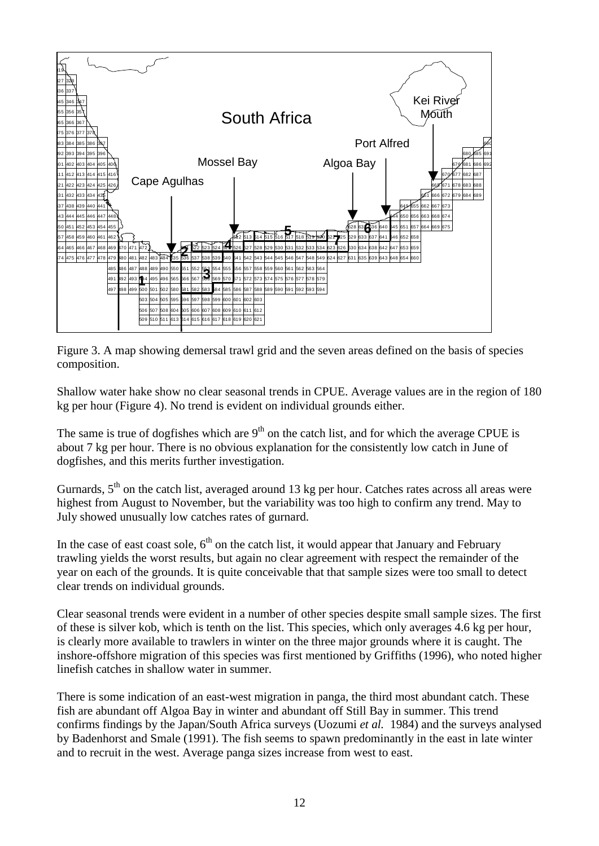

Figure 3. A map showing demersal trawl grid and the seven areas defined on the basis of species composition.

Shallow water hake show no clear seasonal trends in CPUE. Average values are in the region of 180 kg per hour (Figure 4). No trend is evident on individual grounds either.

The same is true of dogfishes which are  $9<sup>th</sup>$  on the catch list, and for which the average CPUE is about 7 kg per hour. There is no obvious explanation for the consistently low catch in June of dogfishes, and this merits further investigation.

Gurnards,  $5<sup>th</sup>$  on the catch list, averaged around 13 kg per hour. Catches rates across all areas were highest from August to November, but the variability was too high to confirm any trend. May to July showed unusually low catches rates of gurnard.

In the case of east coast sole,  $6<sup>th</sup>$  on the catch list, it would appear that January and February trawling yields the worst results, but again no clear agreement with respect the remainder of the year on each of the grounds. It is quite conceivable that that sample sizes were too small to detect clear trends on individual grounds.

Clear seasonal trends were evident in a number of other species despite small sample sizes. The first of these is silver kob, which is tenth on the list. This species, which only averages 4.6 kg per hour, is clearly more available to trawlers in winter on the three major grounds where it is caught. The inshore-offshore migration of this species was first mentioned by Griffiths (1996), who noted higher linefish catches in shallow water in summer.

There is some indication of an east-west migration in panga, the third most abundant catch. These fish are abundant off Algoa Bay in winter and abundant off Still Bay in summer. This trend confirms findings by the Japan/South Africa surveys (Uozumi *et al.* 1984) and the surveys analysed by Badenhorst and Smale (1991). The fish seems to spawn predominantly in the east in late winter and to recruit in the west. Average panga sizes increase from west to east.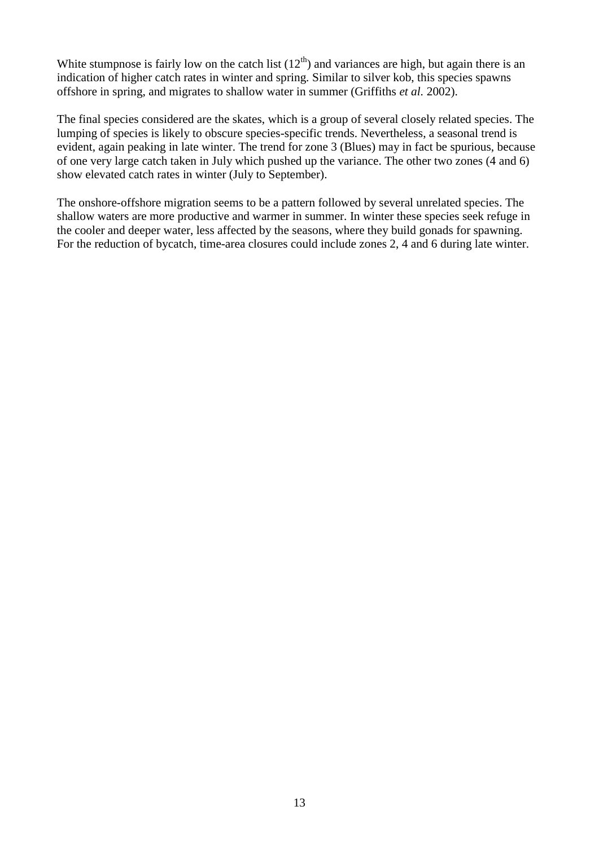White stumpnose is fairly low on the catch list  $(12<sup>th</sup>)$  and variances are high, but again there is an indication of higher catch rates in winter and spring. Similar to silver kob, this species spawns offshore in spring, and migrates to shallow water in summer (Griffiths *et al.* 2002).

The final species considered are the skates, which is a group of several closely related species. The lumping of species is likely to obscure species-specific trends. Nevertheless, a seasonal trend is evident, again peaking in late winter. The trend for zone 3 (Blues) may in fact be spurious, because of one very large catch taken in July which pushed up the variance. The other two zones (4 and 6) show elevated catch rates in winter (July to September).

The onshore-offshore migration seems to be a pattern followed by several unrelated species. The shallow waters are more productive and warmer in summer. In winter these species seek refuge in the cooler and deeper water, less affected by the seasons, where they build gonads for spawning. For the reduction of bycatch, time-area closures could include zones 2, 4 and 6 during late winter.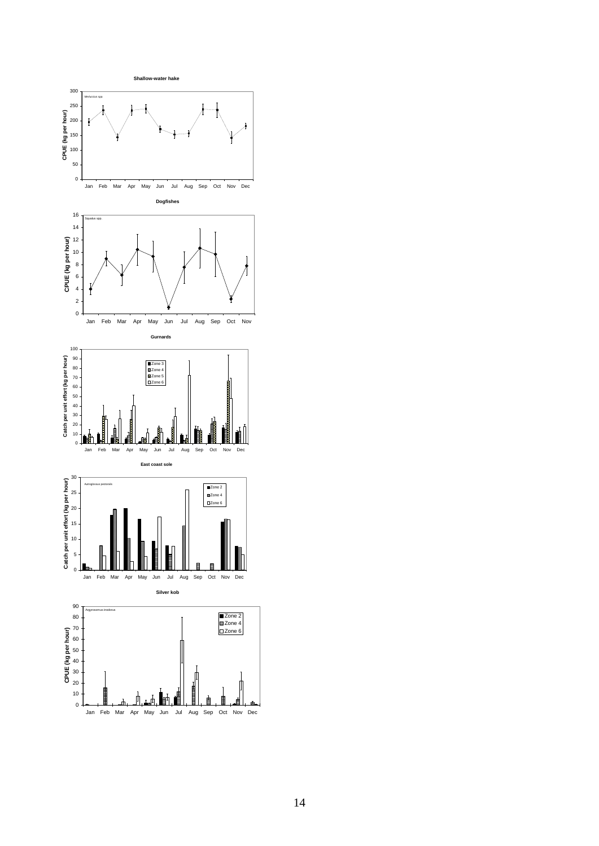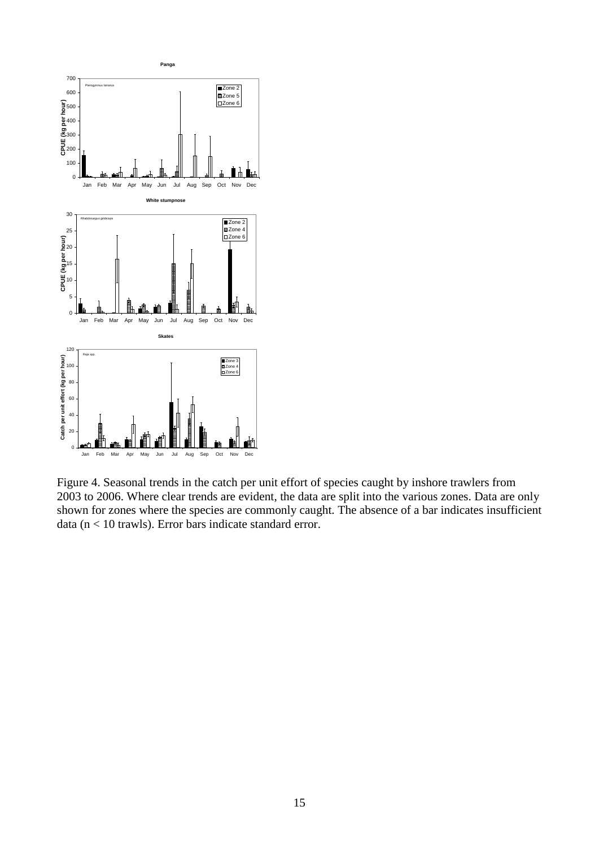

Figure 4. Seasonal trends in the catch per unit effort of species caught by inshore trawlers from 2003 to 2006. Where clear trends are evident, the data are split into the various zones. Data are only shown for zones where the species are commonly caught. The absence of a bar indicates insufficient data (n < 10 trawls). Error bars indicate standard error.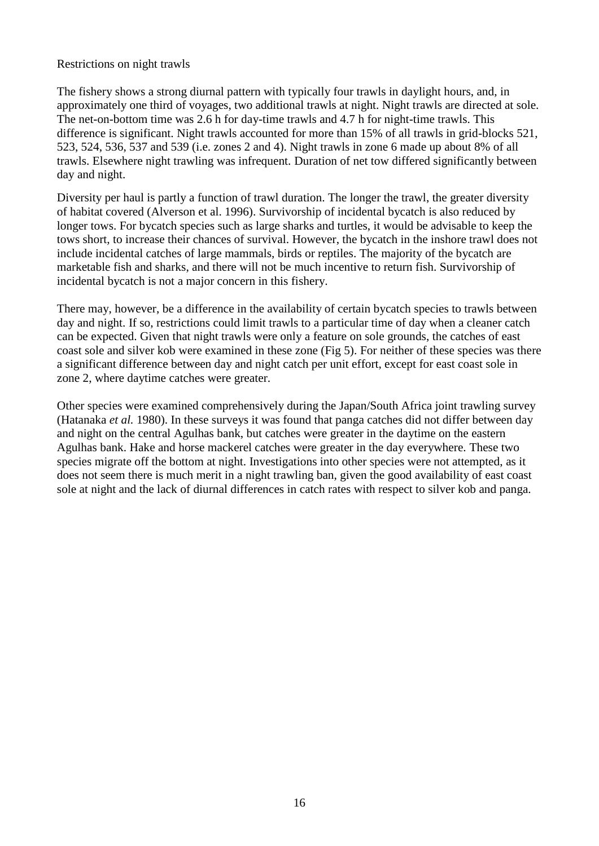## Restrictions on night trawls

The fishery shows a strong diurnal pattern with typically four trawls in daylight hours, and, in approximately one third of voyages, two additional trawls at night. Night trawls are directed at sole. The net-on-bottom time was 2.6 h for day-time trawls and 4.7 h for night-time trawls. This difference is significant. Night trawls accounted for more than 15% of all trawls in grid-blocks 521, 523, 524, 536, 537 and 539 (i.e. zones 2 and 4). Night trawls in zone 6 made up about 8% of all trawls. Elsewhere night trawling was infrequent. Duration of net tow differed significantly between day and night.

Diversity per haul is partly a function of trawl duration. The longer the trawl, the greater diversity of habitat covered (Alverson et al. 1996). Survivorship of incidental bycatch is also reduced by longer tows. For bycatch species such as large sharks and turtles, it would be advisable to keep the tows short, to increase their chances of survival. However, the bycatch in the inshore trawl does not include incidental catches of large mammals, birds or reptiles. The majority of the bycatch are marketable fish and sharks, and there will not be much incentive to return fish. Survivorship of incidental bycatch is not a major concern in this fishery.

There may, however, be a difference in the availability of certain bycatch species to trawls between day and night. If so, restrictions could limit trawls to a particular time of day when a cleaner catch can be expected. Given that night trawls were only a feature on sole grounds, the catches of east coast sole and silver kob were examined in these zone (Fig 5). For neither of these species was there a significant difference between day and night catch per unit effort, except for east coast sole in zone 2, where daytime catches were greater.

Other species were examined comprehensively during the Japan/South Africa joint trawling survey (Hatanaka *et al.* 1980). In these surveys it was found that panga catches did not differ between day and night on the central Agulhas bank, but catches were greater in the daytime on the eastern Agulhas bank. Hake and horse mackerel catches were greater in the day everywhere. These two species migrate off the bottom at night. Investigations into other species were not attempted, as it does not seem there is much merit in a night trawling ban, given the good availability of east coast sole at night and the lack of diurnal differences in catch rates with respect to silver kob and panga.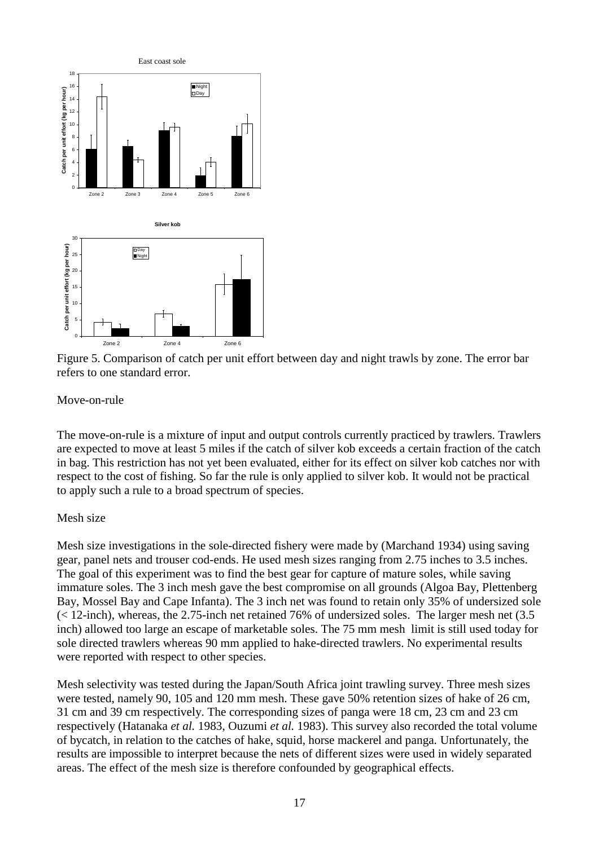

Figure 5. Comparison of catch per unit effort between day and night trawls by zone. The error bar refers to one standard error.

## Move-on-rule

The move-on-rule is a mixture of input and output controls currently practiced by trawlers. Trawlers are expected to move at least 5 miles if the catch of silver kob exceeds a certain fraction of the catch in bag. This restriction has not yet been evaluated, either for its effect on silver kob catches nor with respect to the cost of fishing. So far the rule is only applied to silver kob. It would not be practical to apply such a rule to a broad spectrum of species.

## Mesh size

Mesh size investigations in the sole-directed fishery were made by (Marchand 1934) using saving gear, panel nets and trouser cod-ends. He used mesh sizes ranging from 2.75 inches to 3.5 inches. The goal of this experiment was to find the best gear for capture of mature soles, while saving immature soles. The 3 inch mesh gave the best compromise on all grounds (Algoa Bay, Plettenberg Bay, Mossel Bay and Cape Infanta). The 3 inch net was found to retain only 35% of undersized sole (< 12-inch), whereas, the 2.75-inch net retained 76% of undersized soles. The larger mesh net (3.5 inch) allowed too large an escape of marketable soles. The 75 mm mesh limit is still used today for sole directed trawlers whereas 90 mm applied to hake-directed trawlers. No experimental results were reported with respect to other species.

Mesh selectivity was tested during the Japan/South Africa joint trawling survey. Three mesh sizes were tested, namely 90, 105 and 120 mm mesh. These gave 50% retention sizes of hake of 26 cm, 31 cm and 39 cm respectively. The corresponding sizes of panga were 18 cm, 23 cm and 23 cm respectively (Hatanaka *et al.* 1983, Ouzumi *et al.* 1983). This survey also recorded the total volume of bycatch, in relation to the catches of hake, squid, horse mackerel and panga. Unfortunately, the results are impossible to interpret because the nets of different sizes were used in widely separated areas. The effect of the mesh size is therefore confounded by geographical effects.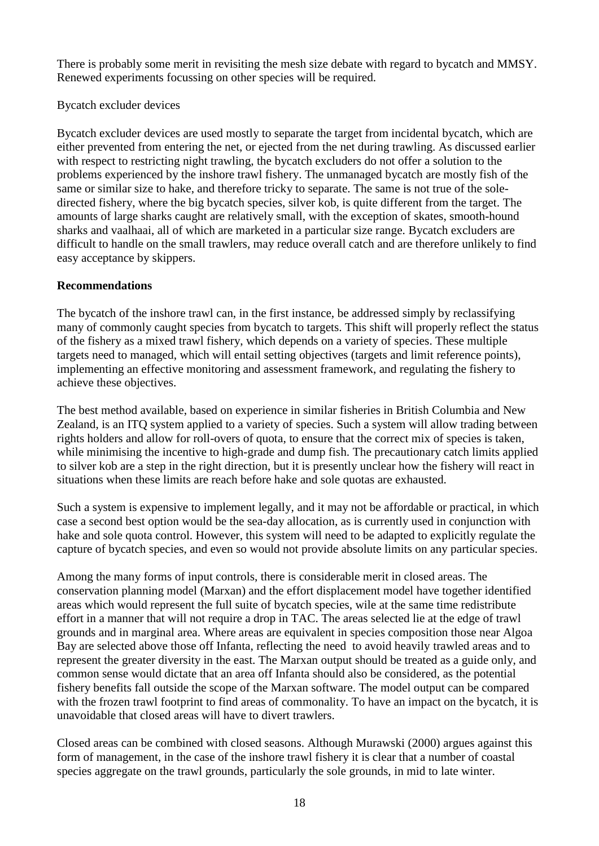There is probably some merit in revisiting the mesh size debate with regard to bycatch and MMSY. Renewed experiments focussing on other species will be required.

## Bycatch excluder devices

Bycatch excluder devices are used mostly to separate the target from incidental bycatch, which are either prevented from entering the net, or ejected from the net during trawling. As discussed earlier with respect to restricting night trawling, the bycatch excluders do not offer a solution to the problems experienced by the inshore trawl fishery. The unmanaged bycatch are mostly fish of the same or similar size to hake, and therefore tricky to separate. The same is not true of the soledirected fishery, where the big bycatch species, silver kob, is quite different from the target. The amounts of large sharks caught are relatively small, with the exception of skates, smooth-hound sharks and vaalhaai, all of which are marketed in a particular size range. Bycatch excluders are difficult to handle on the small trawlers, may reduce overall catch and are therefore unlikely to find easy acceptance by skippers.

## **Recommendations**

The bycatch of the inshore trawl can, in the first instance, be addressed simply by reclassifying many of commonly caught species from bycatch to targets. This shift will properly reflect the status of the fishery as a mixed trawl fishery, which depends on a variety of species. These multiple targets need to managed, which will entail setting objectives (targets and limit reference points), implementing an effective monitoring and assessment framework, and regulating the fishery to achieve these objectives.

The best method available, based on experience in similar fisheries in British Columbia and New Zealand, is an ITQ system applied to a variety of species. Such a system will allow trading between rights holders and allow for roll-overs of quota, to ensure that the correct mix of species is taken, while minimising the incentive to high-grade and dump fish. The precautionary catch limits applied to silver kob are a step in the right direction, but it is presently unclear how the fishery will react in situations when these limits are reach before hake and sole quotas are exhausted.

Such a system is expensive to implement legally, and it may not be affordable or practical, in which case a second best option would be the sea-day allocation, as is currently used in conjunction with hake and sole quota control. However, this system will need to be adapted to explicitly regulate the capture of bycatch species, and even so would not provide absolute limits on any particular species.

Among the many forms of input controls, there is considerable merit in closed areas. The conservation planning model (Marxan) and the effort displacement model have together identified areas which would represent the full suite of bycatch species, wile at the same time redistribute effort in a manner that will not require a drop in TAC. The areas selected lie at the edge of trawl grounds and in marginal area. Where areas are equivalent in species composition those near Algoa Bay are selected above those off Infanta, reflecting the need to avoid heavily trawled areas and to represent the greater diversity in the east. The Marxan output should be treated as a guide only, and common sense would dictate that an area off Infanta should also be considered, as the potential fishery benefits fall outside the scope of the Marxan software. The model output can be compared with the frozen trawl footprint to find areas of commonality. To have an impact on the bycatch, it is unavoidable that closed areas will have to divert trawlers.

Closed areas can be combined with closed seasons. Although Murawski (2000) argues against this form of management, in the case of the inshore trawl fishery it is clear that a number of coastal species aggregate on the trawl grounds, particularly the sole grounds, in mid to late winter.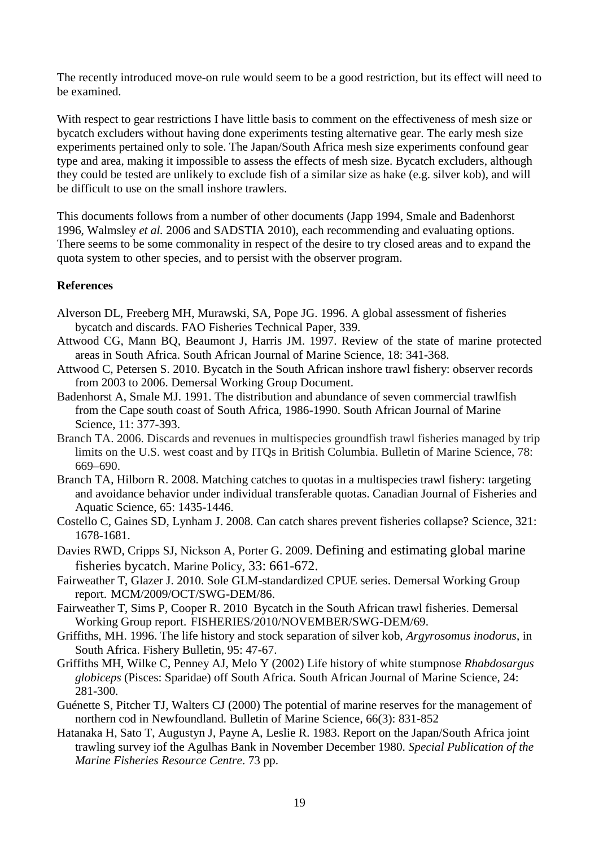The recently introduced move-on rule would seem to be a good restriction, but its effect will need to be examined.

With respect to gear restrictions I have little basis to comment on the effectiveness of mesh size or bycatch excluders without having done experiments testing alternative gear. The early mesh size experiments pertained only to sole. The Japan/South Africa mesh size experiments confound gear type and area, making it impossible to assess the effects of mesh size. Bycatch excluders, although they could be tested are unlikely to exclude fish of a similar size as hake (e.g. silver kob), and will be difficult to use on the small inshore trawlers.

This documents follows from a number of other documents (Japp 1994, Smale and Badenhorst 1996, Walmsley *et al.* 2006 and SADSTIA 2010), each recommending and evaluating options. There seems to be some commonality in respect of the desire to try closed areas and to expand the quota system to other species, and to persist with the observer program.

## **References**

- Alverson DL, Freeberg MH, Murawski, SA, Pope JG. 1996. A global assessment of fisheries bycatch and discards. FAO Fisheries Technical Paper, 339.
- Attwood CG, Mann BQ, Beaumont J, Harris JM. 1997. Review of the state of marine protected areas in South Africa. South African Journal of Marine Science, 18: 341-368.
- Attwood C, Petersen S. 2010. Bycatch in the South African inshore trawl fishery: observer records from 2003 to 2006. Demersal Working Group Document.
- Badenhorst A, Smale MJ. 1991. The distribution and abundance of seven commercial trawlfish from the Cape south coast of South Africa, 1986-1990. South African Journal of Marine Science, 11: 377-393.
- Branch TA. 2006. Discards and revenues in multispecies groundfish trawl fisheries managed by trip limits on the U.S. west coast and by ITQs in British Columbia. Bulletin of Marine Science, 78: 669–690.
- Branch TA, Hilborn R. 2008. Matching catches to quotas in a multispecies trawl fishery: targeting and avoidance behavior under individual transferable quotas. Canadian Journal of Fisheries and Aquatic Science, 65: 1435-1446.
- Costello C, Gaines SD, Lynham J. 2008. Can catch shares prevent fisheries collapse? Science, 321: 1678-1681.
- Davies RWD, Cripps SJ, Nickson A, Porter G. 2009. Defining and estimating global marine fisheries bycatch. Marine Policy, 33: 661-672.
- Fairweather T, Glazer J. 2010. Sole GLM-standardized CPUE series. Demersal Working Group report. MCM/2009/OCT/SWG-DEM/86.
- Fairweather T, Sims P, Cooper R. 2010 Bycatch in the South African trawl fisheries. Demersal Working Group report. FISHERIES/2010/NOVEMBER/SWG-DEM/69.
- Griffiths, MH. 1996. The life history and stock separation of silver kob, *Argyrosomus inodorus*, in South Africa. Fishery Bulletin, 95: 47-67.
- Griffiths MH, Wilke C, Penney AJ, Melo Y (2002) Life history of white stumpnose *Rhabdosargus globiceps* (Pisces: Sparidae) off South Africa. South African Journal of Marine Science, 24: 281-300.
- Guénette S, Pitcher TJ, Walters CJ (2000) The potential of marine reserves for the management of northern cod in Newfoundland. Bulletin of Marine Science, 66(3): 831-852
- Hatanaka H, Sato T, Augustyn J, Payne A, Leslie R. 1983. Report on the Japan/South Africa joint trawling survey iof the Agulhas Bank in November December 1980. *Special Publication of the Marine Fisheries Resource Centre*. 73 pp.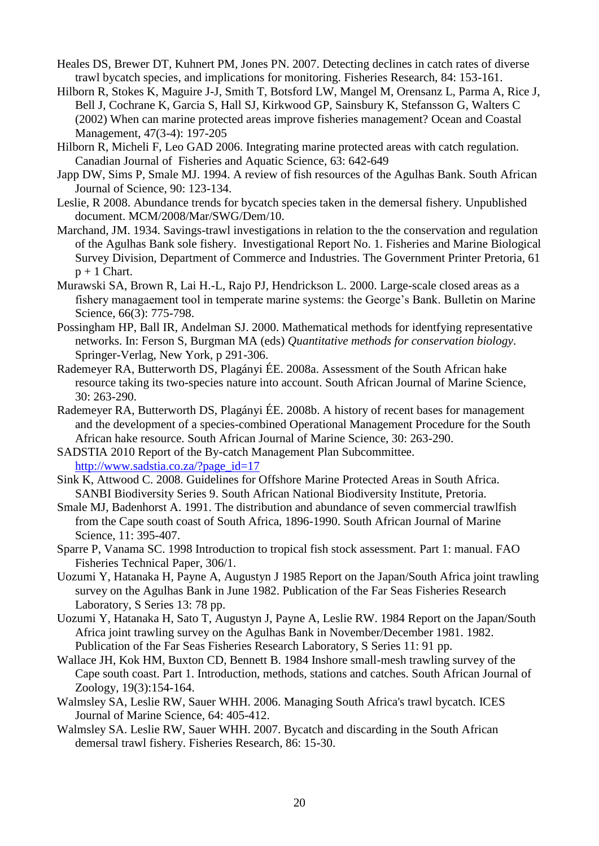- Heales DS, Brewer DT, Kuhnert PM, Jones PN. 2007. Detecting declines in catch rates of diverse trawl bycatch species, and implications for monitoring. Fisheries Research, 84: 153-161.
- Hilborn R, Stokes K, Maguire J-J, Smith T, Botsford LW, Mangel M, Orensanz L, Parma A, Rice J, Bell J, Cochrane K, Garcia S, Hall SJ, Kirkwood GP, Sainsbury K, Stefansson G, Walters C (2002) When can marine protected areas improve fisheries management? Ocean and Coastal Management, 47(3-4): 197-205
- Hilborn R, Micheli F, Leo GAD 2006. Integrating marine protected areas with catch regulation. Canadian Journal of Fisheries and Aquatic Science, 63: 642-649
- Japp DW, Sims P, Smale MJ. 1994. A review of fish resources of the Agulhas Bank. South African Journal of Science, 90: 123-134.
- Leslie, R 2008. Abundance trends for bycatch species taken in the demersal fishery. Unpublished document. MCM/2008/Mar/SWG/Dem/10.
- Marchand, JM. 1934. Savings-trawl investigations in relation to the the conservation and regulation of the Agulhas Bank sole fishery. Investigational Report No. 1. Fisheries and Marine Biological Survey Division, Department of Commerce and Industries. The Government Printer Pretoria, 61  $p + 1$  Chart.
- Murawski SA, Brown R, Lai H.-L, Rajo PJ, Hendrickson L. 2000. Large-scale closed areas as a fishery managaement tool in temperate marine systems: the George's Bank. Bulletin on Marine Science, 66(3): 775-798.
- Possingham HP, Ball IR, Andelman SJ. 2000. Mathematical methods for identfying representative networks. In: Ferson S, Burgman MA (eds) *Quantitative methods for conservation biology*. Springer-Verlag, New York, p 291-306.
- Rademeyer RA, Butterworth DS, Plagányi ÉE. 2008a. Assessment of the South African hake resource taking its two-species nature into account. South African Journal of Marine Science, 30: 263-290.
- Rademeyer RA, Butterworth DS, Plagányi ÉE. 2008b. A history of recent bases for management and the development of a species-combined Operational Management Procedure for the South African hake resource. South African Journal of Marine Science, 30: 263-290.

SADSTIA 2010 Report of the By-catch Management Plan Subcommittee. [http://www.sadstia.co.za/?page\\_id=17](http://www.sadstia.co.za/?page_id=17)

- Sink K, Attwood C. 2008. Guidelines for Offshore Marine Protected Areas in South Africa. SANBI Biodiversity Series 9. South African National Biodiversity Institute, Pretoria.
- Smale MJ, Badenhorst A. 1991. The distribution and abundance of seven commercial trawlfish from the Cape south coast of South Africa, 1896-1990. South African Journal of Marine Science, 11: 395-407.
- Sparre P, Vanama SC. 1998 Introduction to tropical fish stock assessment. Part 1: manual. FAO Fisheries Technical Paper, 306/1.
- Uozumi Y, Hatanaka H, Payne A, Augustyn J 1985 Report on the Japan/South Africa joint trawling survey on the Agulhas Bank in June 1982. Publication of the Far Seas Fisheries Research Laboratory, S Series 13: 78 pp.
- Uozumi Y, Hatanaka H, Sato T, Augustyn J, Payne A, Leslie RW. 1984 Report on the Japan/South Africa joint trawling survey on the Agulhas Bank in November/December 1981. 1982. Publication of the Far Seas Fisheries Research Laboratory, S Series 11: 91 pp.
- Wallace JH, Kok HM, Buxton CD, Bennett B. 1984 Inshore small-mesh trawling survey of the Cape south coast. Part 1. Introduction, methods, stations and catches. South African Journal of Zoology, 19(3):154-164.
- Walmsley SA, Leslie RW, Sauer WHH. 2006. Managing South Africa's trawl bycatch. ICES Journal of Marine Science, 64: 405-412.
- Walmsley SA. Leslie RW, Sauer WHH. 2007. Bycatch and discarding in the South African demersal trawl fishery. Fisheries Research, 86: 15-30.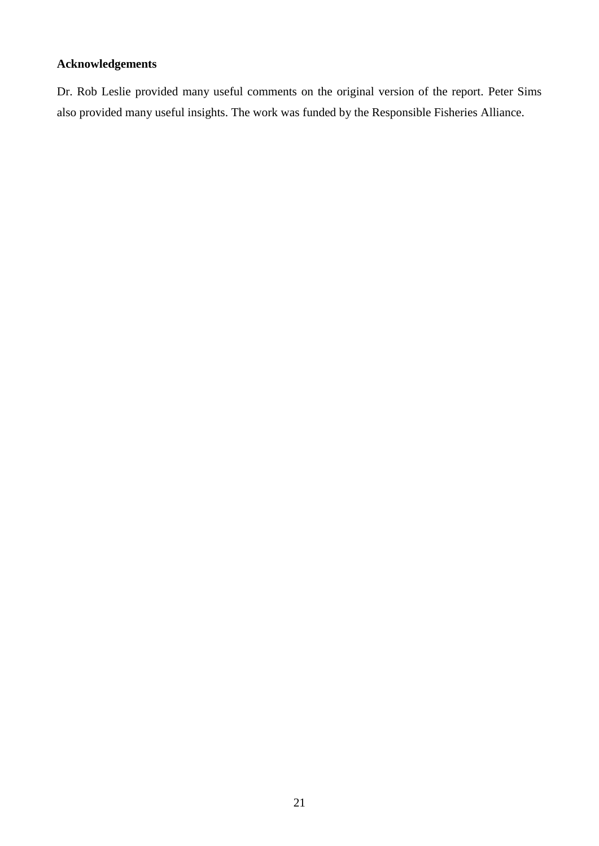## **Acknowledgements**

Dr. Rob Leslie provided many useful comments on the original version of the report. Peter Sims also provided many useful insights. The work was funded by the Responsible Fisheries Alliance.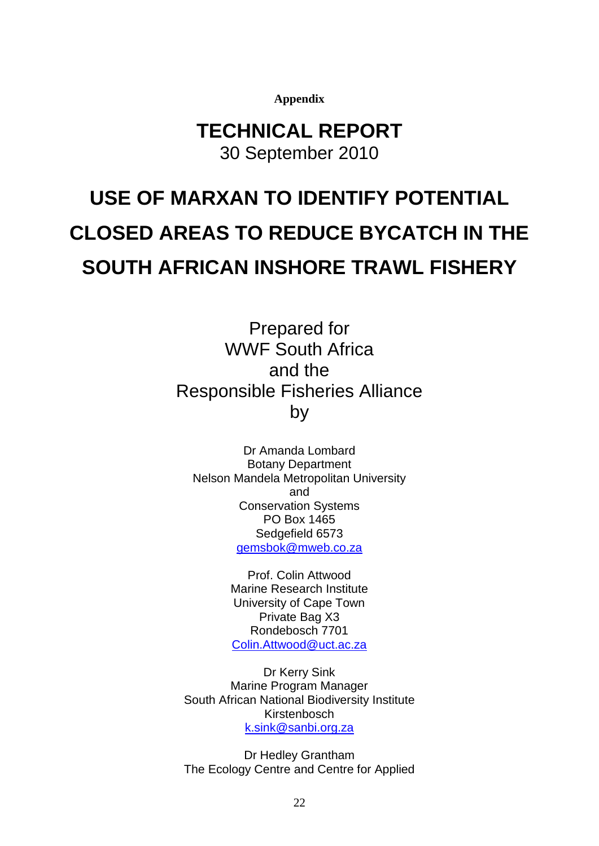**Appendix**

## **TECHNICAL REPORT** 30 September 2010

# **USE OF MARXAN TO IDENTIFY POTENTIAL CLOSED AREAS TO REDUCE BYCATCH IN THE SOUTH AFRICAN INSHORE TRAWL FISHERY**

Prepared for WWF South Africa and the Responsible Fisheries Alliance by

Dr Amanda Lombard Botany Department Nelson Mandela Metropolitan University and Conservation Systems PO Box 1465 Sedgefield 6573 [gemsbok@mweb.co.za](mailto:gemsbok@mweb.co.za)

> Prof. Colin Attwood Marine Research Institute University of Cape Town Private Bag X3 Rondebosch 7701 [Colin.Attwood@uct.ac.za](mailto:Colin.Attwood@uct.ac.za)

Dr Kerry Sink Marine Program Manager South African National Biodiversity Institute Kirstenbosch [k.sink@sanbi.org.za](mailto:k.sink@sanbi.org.za)

Dr Hedley Grantham The Ecology Centre and Centre for Applied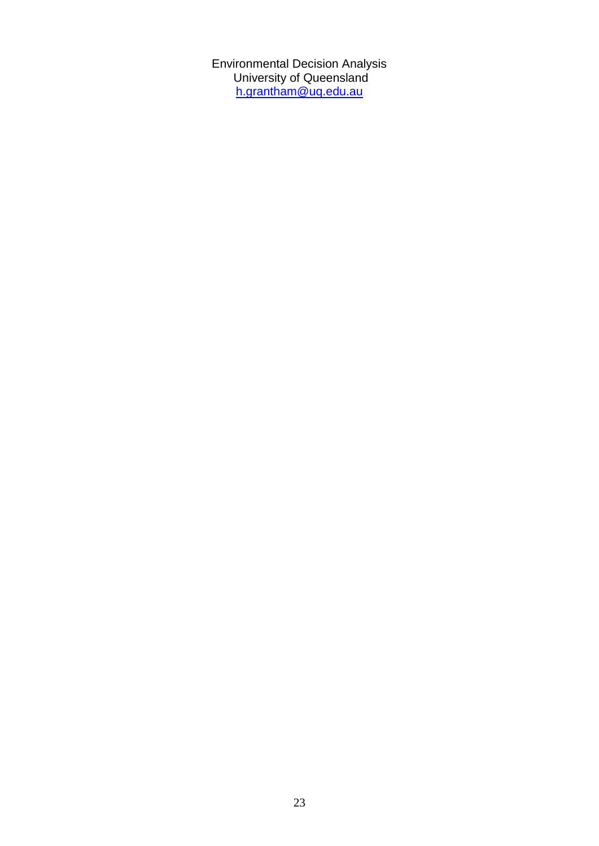Environmental Decision Analysis University of Queensland h.grantham@uq.edu.au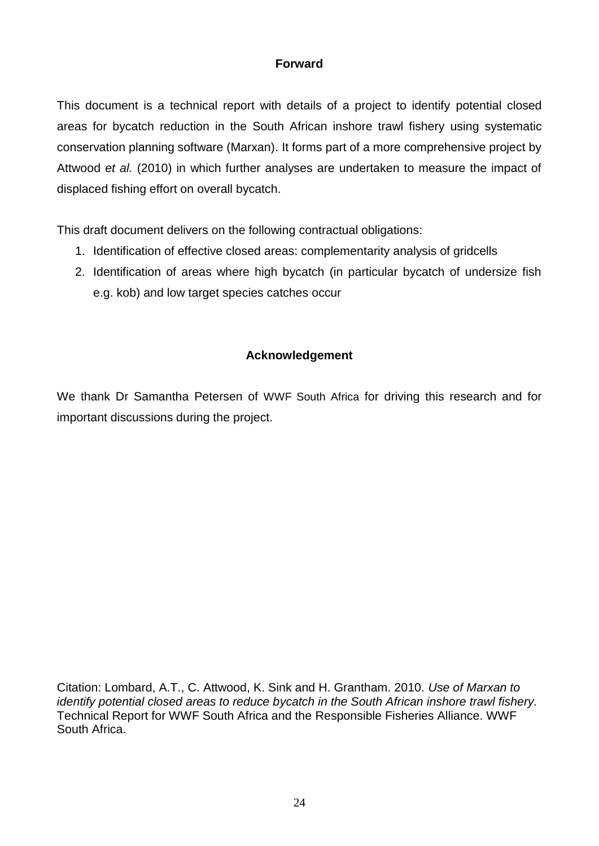## **Forward**

This document is a technical report with details of a project to identify potential closed areas for bycatch reduction in the South African inshore trawl fishery using systematic conservation planning software (Marxan). It forms part of a more comprehensive project by Attwood *et al.* (2010) in which further analyses are undertaken to measure the impact of displaced fishing effort on overall bycatch.

This draft document delivers on the following contractual obligations:

- 1. Identification of effective closed areas: complementarity analysis of gridcells
- 2. Identification of areas where high bycatch (in particular bycatch of undersize fish e.g. kob) and low target species catches occur

## **Acknowledgement**

We thank Dr Samantha Petersen of WWF South Africa for driving this research and for important discussions during the project.

Citation: Lombard, A.T., C. Attwood, K. Sink and H. Grantham. 2010. *Use of Marxan to identify potential closed areas to reduce bycatch in the South African inshore trawl fishery.* Technical Report for WWF South Africa and the Responsible Fisheries Alliance. WWF South Africa.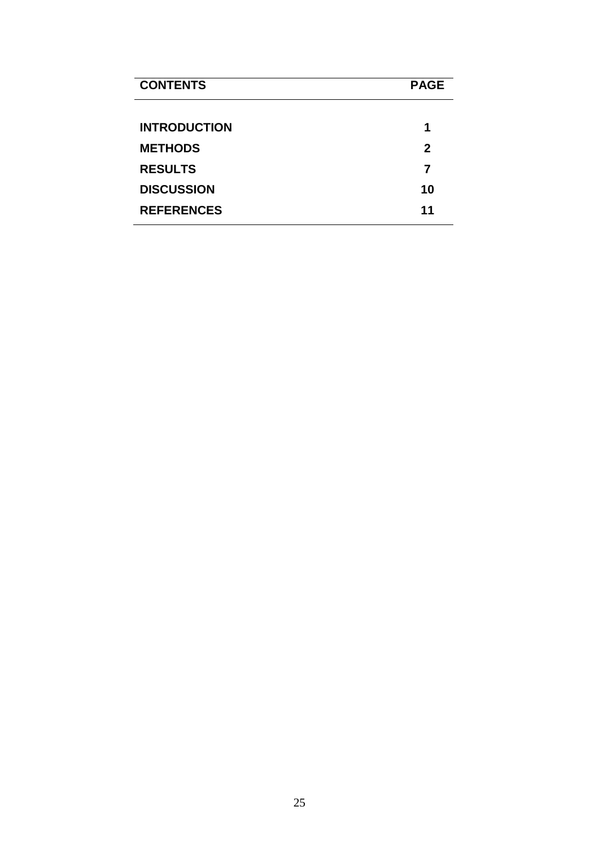| <b>CONTENTS</b>     | <b>PAGE</b>  |
|---------------------|--------------|
| <b>INTRODUCTION</b> | 1            |
| <b>METHODS</b>      | $\mathbf{2}$ |
| <b>RESULTS</b>      | 7            |
| <b>DISCUSSION</b>   | 10           |
| <b>REFERENCES</b>   | 11           |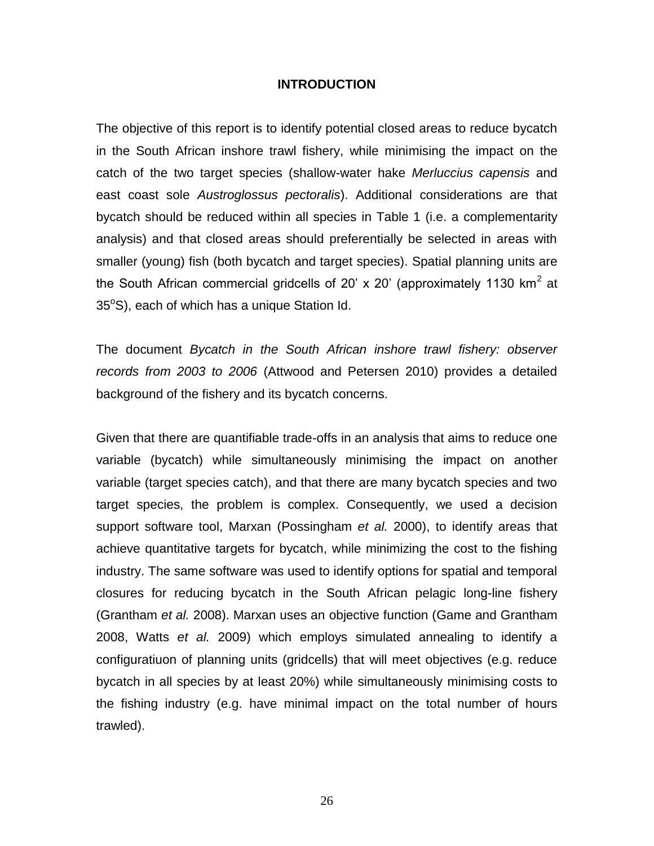#### **INTRODUCTION**

The objective of this report is to identify potential closed areas to reduce bycatch in the South African inshore trawl fishery, while minimising the impact on the catch of the two target species (shallow-water hake *Merluccius capensis* and east coast sole *Austroglossus pectoralis*). Additional considerations are that bycatch should be reduced within all species in Table 1 (i.e. a complementarity analysis) and that closed areas should preferentially be selected in areas with smaller (young) fish (both bycatch and target species). Spatial planning units are the South African commercial gridcells of 20' x 20' (approximately 1130 km<sup>2</sup> at  $35^{\circ}$ S), each of which has a unique Station Id.

The document *Bycatch in the South African inshore trawl fishery: observer records from 2003 to 2006* (Attwood and Petersen 2010) provides a detailed background of the fishery and its bycatch concerns.

Given that there are quantifiable trade-offs in an analysis that aims to reduce one variable (bycatch) while simultaneously minimising the impact on another variable (target species catch), and that there are many bycatch species and two target species, the problem is complex. Consequently, we used a decision support software tool, Marxan (Possingham *et al.* 2000), to identify areas that achieve quantitative targets for bycatch, while minimizing the cost to the fishing industry. The same software was used to identify options for spatial and temporal closures for reducing bycatch in the South African pelagic long-line fishery (Grantham *et al.* 2008). Marxan uses an objective function (Game and Grantham 2008, Watts *et al.* 2009) which employs simulated annealing to identify a configuratiuon of planning units (gridcells) that will meet objectives (e.g. reduce bycatch in all species by at least 20%) while simultaneously minimising costs to the fishing industry (e.g. have minimal impact on the total number of hours trawled).

26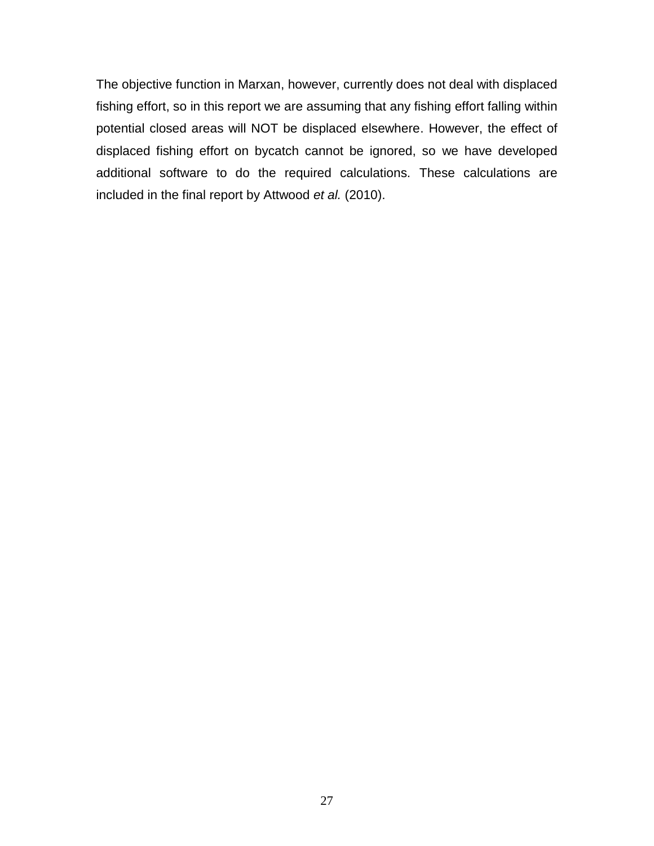The objective function in Marxan, however, currently does not deal with displaced fishing effort, so in this report we are assuming that any fishing effort falling within potential closed areas will NOT be displaced elsewhere. However, the effect of displaced fishing effort on bycatch cannot be ignored, so we have developed additional software to do the required calculations. These calculations are included in the final report by Attwood *et al.* (2010).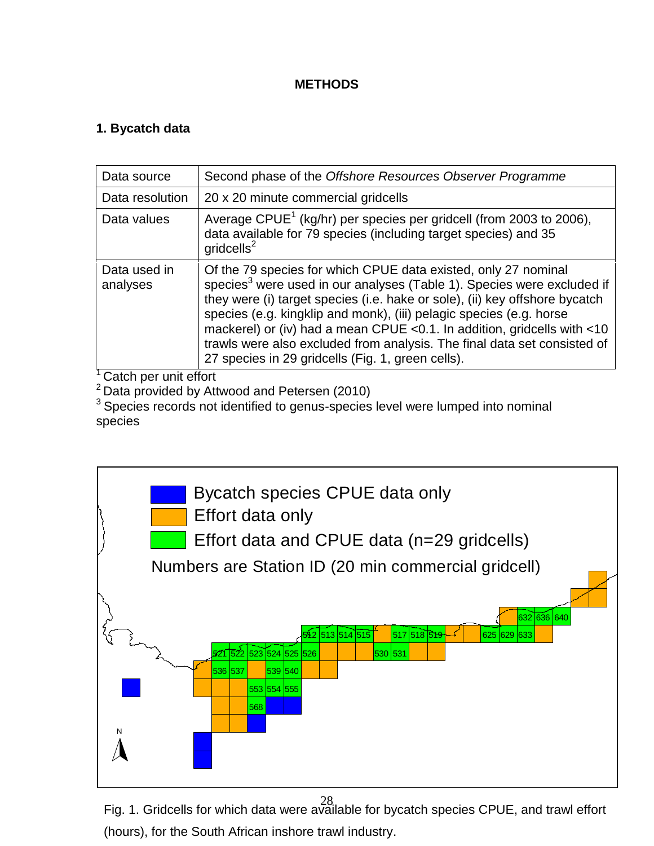## **METHODS**

## **1. Bycatch data**

| Data source              | Second phase of the Offshore Resources Observer Programme                                                                                                                                                                                                                                                                                                                                                                                                                                                              |
|--------------------------|------------------------------------------------------------------------------------------------------------------------------------------------------------------------------------------------------------------------------------------------------------------------------------------------------------------------------------------------------------------------------------------------------------------------------------------------------------------------------------------------------------------------|
| Data resolution          | 20 x 20 minute commercial gridcells                                                                                                                                                                                                                                                                                                                                                                                                                                                                                    |
| Data values              | Average CPUE <sup>1</sup> (kg/hr) per species per gridcell (from 2003 to 2006),<br>data available for 79 species (including target species) and 35<br>gridcells <sup>2</sup>                                                                                                                                                                                                                                                                                                                                           |
| Data used in<br>analyses | Of the 79 species for which CPUE data existed, only 27 nominal<br>species <sup>3</sup> were used in our analyses (Table 1). Species were excluded if<br>they were (i) target species (i.e. hake or sole), (ii) key offshore bycatch<br>species (e.g. kingklip and monk), (iii) pelagic species (e.g. horse<br>mackerel) or (iv) had a mean CPUE <0.1. In addition, gridcells with <10<br>trawls were also excluded from analysis. The final data set consisted of<br>27 species in 29 gridcells (Fig. 1, green cells). |

<sup>1</sup> Catch per unit effort

2 Data provided by Attwood and Petersen (2010)

<sup>3</sup> Species records not identified to genus-species level were lumped into nominal species



28 Fig. 1. Gridcells for which data were available for bycatch species CPUE, and trawl effort (hours), for the South African inshore trawl industry.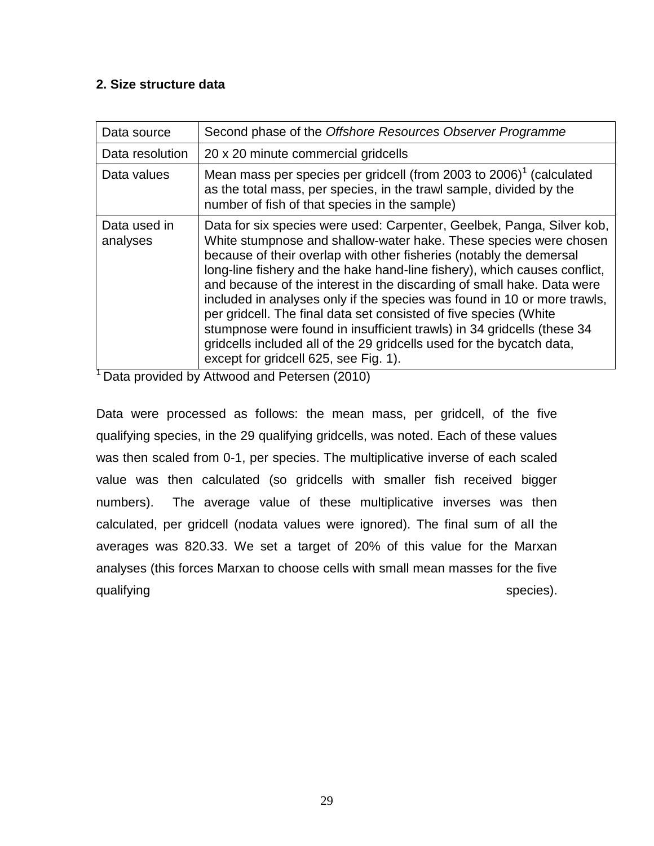## **2. Size structure data**

| Data source              | Second phase of the Offshore Resources Observer Programme                                                                                                                                                                                                                                                                                                                                                                                                                                                                                                                                                                                                                                                              |
|--------------------------|------------------------------------------------------------------------------------------------------------------------------------------------------------------------------------------------------------------------------------------------------------------------------------------------------------------------------------------------------------------------------------------------------------------------------------------------------------------------------------------------------------------------------------------------------------------------------------------------------------------------------------------------------------------------------------------------------------------------|
| Data resolution          | 20 x 20 minute commercial gridcells                                                                                                                                                                                                                                                                                                                                                                                                                                                                                                                                                                                                                                                                                    |
| Data values              | Mean mass per species per gridcell (from 2003 to 2006) <sup>1</sup> (calculated<br>as the total mass, per species, in the trawl sample, divided by the<br>number of fish of that species in the sample)                                                                                                                                                                                                                                                                                                                                                                                                                                                                                                                |
| Data used in<br>analyses | Data for six species were used: Carpenter, Geelbek, Panga, Silver kob,<br>White stumpnose and shallow-water hake. These species were chosen<br>because of their overlap with other fisheries (notably the demersal<br>long-line fishery and the hake hand-line fishery), which causes conflict,<br>and because of the interest in the discarding of small hake. Data were<br>included in analyses only if the species was found in 10 or more trawls,<br>per gridcell. The final data set consisted of five species (White<br>stumpnose were found in insufficient trawls) in 34 gridcells (these 34<br>gridcells included all of the 29 gridcells used for the bycatch data,<br>except for gridcell 625, see Fig. 1). |

<sup>1</sup> Data provided by Attwood and Petersen (2010)

Data were processed as follows: the mean mass, per gridcell, of the five qualifying species, in the 29 qualifying gridcells, was noted. Each of these values was then scaled from 0-1, per species. The multiplicative inverse of each scaled value was then calculated (so gridcells with smaller fish received bigger numbers). The average value of these multiplicative inverses was then calculated, per gridcell (nodata values were ignored). The final sum of all the averages was 820.33. We set a target of 20% of this value for the Marxan analyses (this forces Marxan to choose cells with small mean masses for the five qualifying species).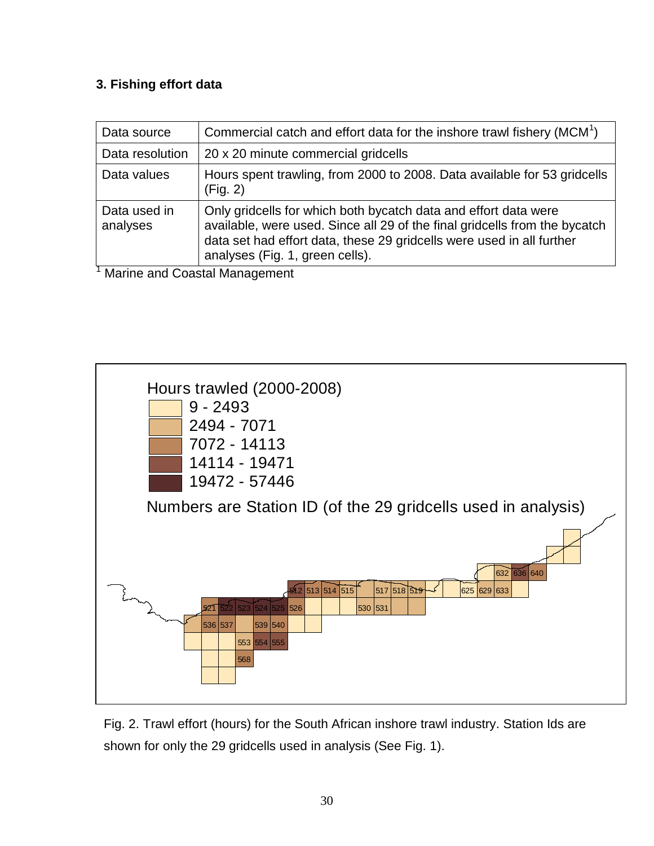## **3. Fishing effort data**

| Data source              | Commercial catch and effort data for the inshore trawl fishery (MCM <sup>1</sup> )                                                                                                                                                                                                                                                           |
|--------------------------|----------------------------------------------------------------------------------------------------------------------------------------------------------------------------------------------------------------------------------------------------------------------------------------------------------------------------------------------|
| Data resolution          | 20 x 20 minute commercial gridcells                                                                                                                                                                                                                                                                                                          |
| Data values              | Hours spent trawling, from 2000 to 2008. Data available for 53 gridcells<br>(Fig. 2)                                                                                                                                                                                                                                                         |
| Data used in<br>analyses | Only gridcells for which both bycatch data and effort data were<br>available, were used. Since all 29 of the final gridcells from the bycatch<br>data set had effort data, these 29 gridcells were used in all further<br>analyses (Fig. 1, green cells).<br>$M_{\odot}$ , the same of $\Omega$ is a set of $M_{\odot}$ is a set of $\Omega$ |

<sup>1</sup> Marine and Coastal Management



Fig. 2. Trawl effort (hours) for the South African inshore trawl industry. Station Ids are shown for only the 29 gridcells used in analysis (See Fig. 1).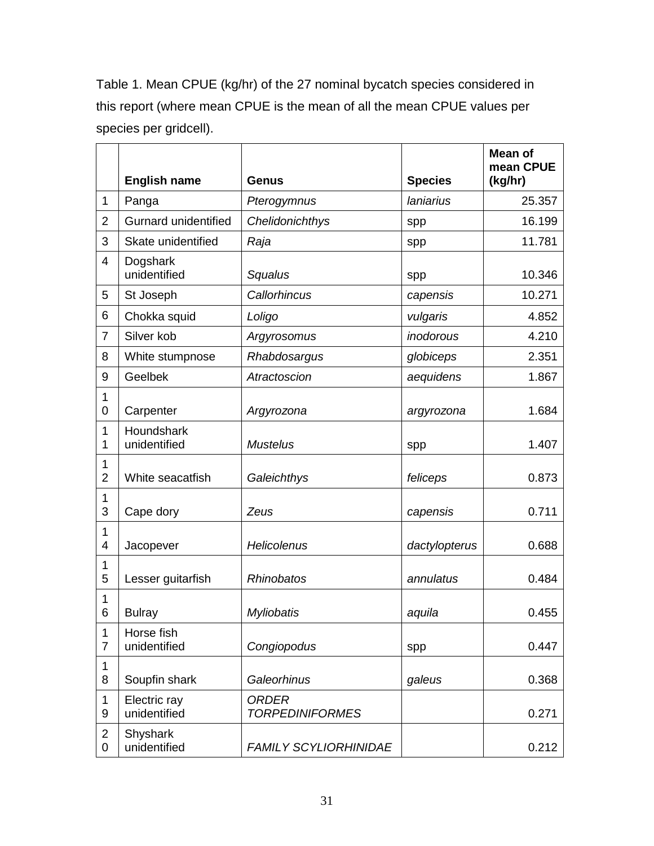Table 1. Mean CPUE (kg/hr) of the 27 nominal bycatch species considered in this report (where mean CPUE is the mean of all the mean CPUE values per species per gridcell).

|                     | <b>English name</b>          | <b>Genus</b>                           | <b>Species</b> | Mean of<br>mean CPUE<br>(kg/hr) |
|---------------------|------------------------------|----------------------------------------|----------------|---------------------------------|
| 1                   | Panga                        | Pterogymnus                            | laniarius      | 25.357                          |
| $\overline{2}$      | <b>Gurnard unidentified</b>  | Chelidonichthys                        | spp            | 16.199                          |
| 3                   | Skate unidentified           | Raja                                   | spp            | 11.781                          |
| $\overline{4}$      | Dogshark<br>unidentified     | Squalus                                | spp            | 10.346                          |
| 5                   | St Joseph                    | Callorhincus                           | capensis       | 10.271                          |
| 6                   | Chokka squid                 | Loligo                                 | vulgaris       | 4.852                           |
| $\overline{7}$      | Silver kob                   | Argyrosomus                            | inodorous      | 4.210                           |
| 8                   | White stumpnose              | Rhabdosargus                           | globiceps      | 2.351                           |
| 9                   | Geelbek                      | Atractoscion                           | aequidens      | 1.867                           |
| 1<br>0              | Carpenter                    | Argyrozona                             | argyrozona     | 1.684                           |
| 1<br>1              | Houndshark<br>unidentified   | <b>Mustelus</b>                        | spp            | 1.407                           |
| 1<br>$\overline{2}$ | White seacatfish             | Galeichthys                            | feliceps       | 0.873                           |
| $\mathbf 1$<br>3    | Cape dory                    | Zeus                                   | capensis       | 0.711                           |
| $\mathbf 1$<br>4    | Jacopever                    | Helicolenus                            | dactylopterus  | 0.688                           |
| 1<br>5              | Lesser guitarfish            | <b>Rhinobatos</b>                      | annulatus      | 0.484                           |
| 1<br>6              | <b>Bulray</b>                | <b>Myliobatis</b>                      | aquila         | 0.455                           |
| 1<br>$\overline{7}$ | Horse fish<br>unidentified   | Congiopodus                            | spp            | 0.447                           |
| 1<br>8              | Soupfin shark                | Galeorhinus                            | galeus         | 0.368                           |
| 1<br>9              | Electric ray<br>unidentified | <b>ORDER</b><br><b>TORPEDINIFORMES</b> |                | 0.271                           |
| $\overline{2}$<br>0 | Shyshark<br>unidentified     | <b>FAMILY SCYLIORHINIDAE</b>           |                | 0.212                           |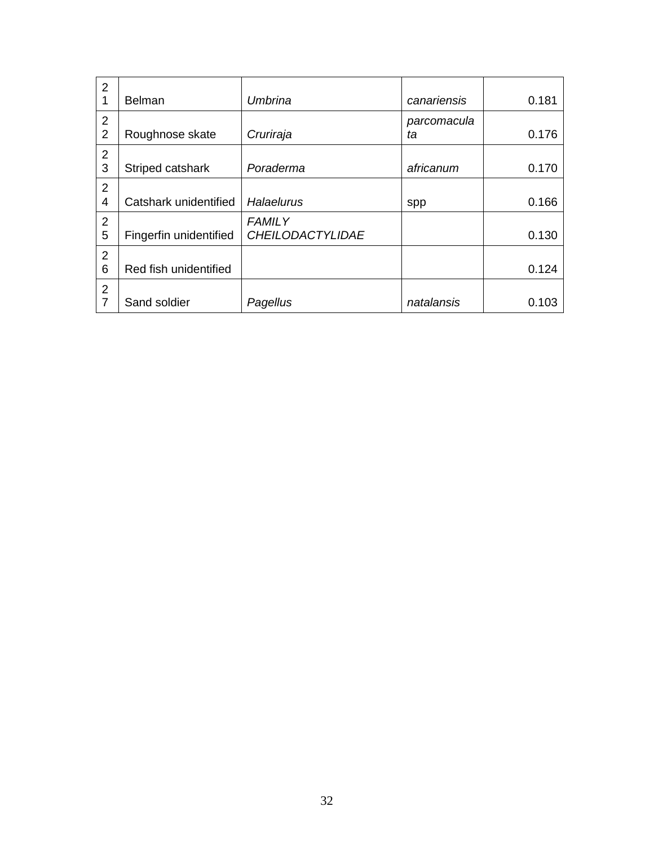| $\overline{2}$ |                        |                         |             |       |
|----------------|------------------------|-------------------------|-------------|-------|
| 1              | <b>Belman</b>          | Umbrina                 | canariensis | 0.181 |
| $\overline{2}$ |                        |                         | parcomacula |       |
| 2              | Roughnose skate        | Cruriraja               | ta          | 0.176 |
| $\overline{2}$ |                        |                         |             |       |
| 3              | Striped catshark       | Poraderma               | africanum   | 0.170 |
| $\overline{2}$ |                        |                         |             |       |
| $\overline{4}$ | Catshark unidentified  | Halaelurus              | spp         | 0.166 |
| $\overline{2}$ |                        | <b>FAMILY</b>           |             |       |
| 5              | Fingerfin unidentified | <b>CHEILODACTYLIDAE</b> |             | 0.130 |
| $\overline{2}$ |                        |                         |             |       |
| 6              | Red fish unidentified  |                         |             | 0.124 |
| 2              |                        |                         |             |       |
| $\overline{7}$ | Sand soldier           | Pagellus                | natalansis  | 0.103 |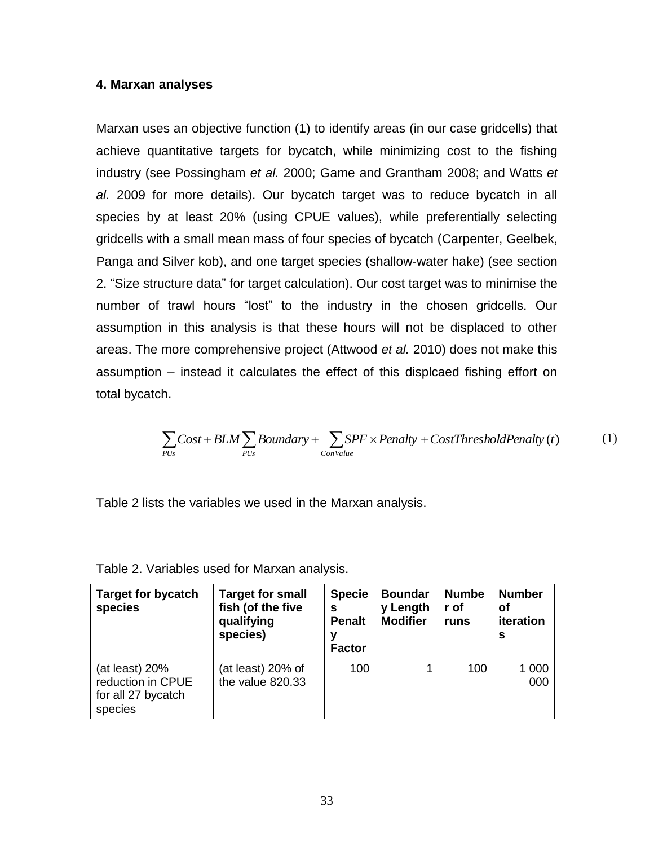#### **4. Marxan analyses**

Marxan uses an objective function (1) to identify areas (in our case gridcells) that achieve quantitative targets for bycatch, while minimizing cost to the fishing industry (see Possingham *et al.* 2000; Game and Grantham 2008; and Watts *et al.* 2009 for more details). Our bycatch target was to reduce bycatch in all species by at least 20% (using CPUE values), while preferentially selecting gridcells with a small mean mass of four species of bycatch (Carpenter, Geelbek, Panga and Silver kob), and one target species (shallow-water hake) (see section 2. "Size structure data" for target calculation). Our cost target was to minimise the number of trawl hours "lost" to the industry in the chosen gridcells. Our assumption in this analysis is that these hours will not be displaced to other areas. The more comprehensive project (Attwood *et al.* 2010) does not make this assumption – instead it calculates the effect of this displcaed fishing effort on total bycatch.

$$
\sum_{PUs} Cost + BLM \sum_{PUs} Boundary + \sum_{ConValue} SPF \times Penalty + CostThresholdPenalty(t)
$$
 (1)

| $\sum Cost + BLM \sum Boundary + \sum SPF \times Penalty + CostThresholdPenalty$ (t)<br>ConValue<br>PUs<br>PI/s<br>Table 2 lists the variables we used in the Marxan analysis. |                                                                        |                                                           |                                               |                              |                                       |
|--------------------------------------------------------------------------------------------------------------------------------------------------------------------------------|------------------------------------------------------------------------|-----------------------------------------------------------|-----------------------------------------------|------------------------------|---------------------------------------|
| Table 2. Variables used for Marxan analysis.                                                                                                                                   |                                                                        |                                                           |                                               |                              |                                       |
| <b>Target for bycatch</b><br>species                                                                                                                                           | <b>Target for small</b><br>fish (of the five<br>qualifying<br>species) | <b>Specie</b><br>S<br><b>Penalt</b><br>v<br><b>Factor</b> | <b>Boundar</b><br>y Length<br><b>Modifier</b> | <b>Numbe</b><br>r of<br>runs | <b>Number</b><br>Οf<br>iteration<br>S |
| (at least) 20%<br>reduction in CPUE<br>for all 27 bycatch<br>species                                                                                                           | (at least) 20% of<br>the value 820.33                                  | 100                                                       | 1                                             | 100                          | 1 0 0 0<br>000                        |
|                                                                                                                                                                                |                                                                        | 33                                                        |                                               |                              |                                       |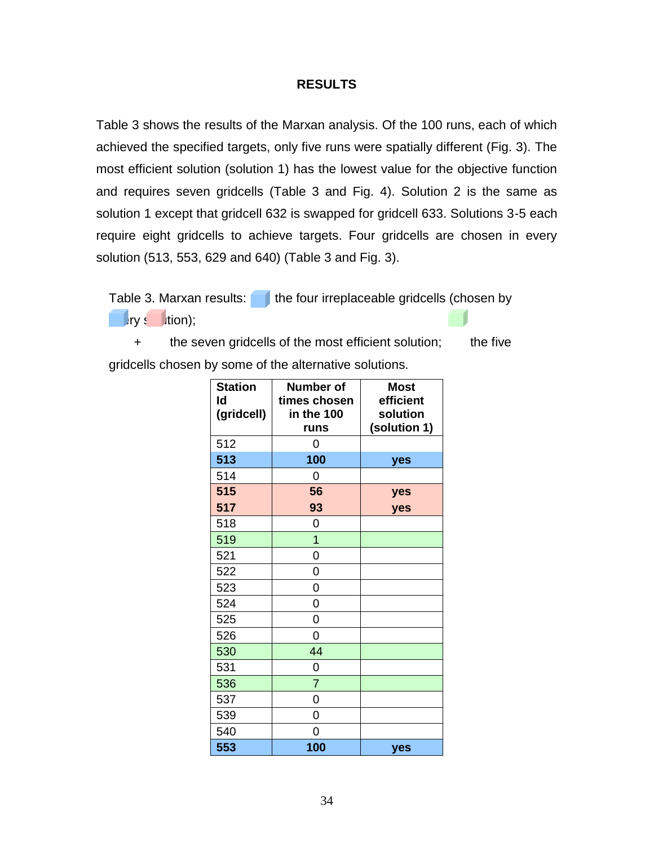#### **RESULTS**

Table 3 shows the results of the Marxan analysis. Of the 100 runs, each of which achieved the specified targets, only five runs were spatially different (Fig. 3). The most efficient solution (solution 1) has the lowest value for the objective function and requires seven gridcells (Table 3 and Fig. 4). Solution 2 is the same as solution 1 except that gridcell 632 is swapped for gridcell 633. Solutions 3-5 each require eight gridcells to achieve targets. Four gridcells are chosen in every solution (513, 553, 629 and 640) (Table 3 and Fig. 3).

Table 3. Marxan results:  $\Box$  the four irreplaceable gridcells (chosen by  $\blacksquare$ ry s $\blacksquare$ tion);

 + the seven gridcells of the most efficient solution; the five gridcells chosen by some of the alternative solutions.

| <b>Station</b><br>ld<br>(gridcell) | <b>Number of</b><br>times chosen<br>in the 100<br>runs | <b>Most</b><br>efficient<br>solution<br>(solution 1) |
|------------------------------------|--------------------------------------------------------|------------------------------------------------------|
| 512                                | 0                                                      |                                                      |
| 513                                | 100                                                    | yes                                                  |
| 514                                | 0                                                      |                                                      |
| 515                                | 56                                                     | yes                                                  |
| 517                                | 93                                                     | yes                                                  |
| 518                                | 0                                                      |                                                      |
| 519                                | 1                                                      |                                                      |
| 521                                | 0                                                      |                                                      |
| 522                                | 0                                                      |                                                      |
| 523                                | 0                                                      |                                                      |
| 524                                | 0                                                      |                                                      |
| 525                                | 0                                                      |                                                      |
| 526                                | 0                                                      |                                                      |
| 530                                | 44                                                     |                                                      |
| 531                                | 0                                                      |                                                      |
| 536                                | $\overline{7}$                                         |                                                      |
| 537                                | 0                                                      |                                                      |
| 539                                | 0                                                      |                                                      |
| 540                                | 0                                                      |                                                      |
| 553                                | 100                                                    | yes                                                  |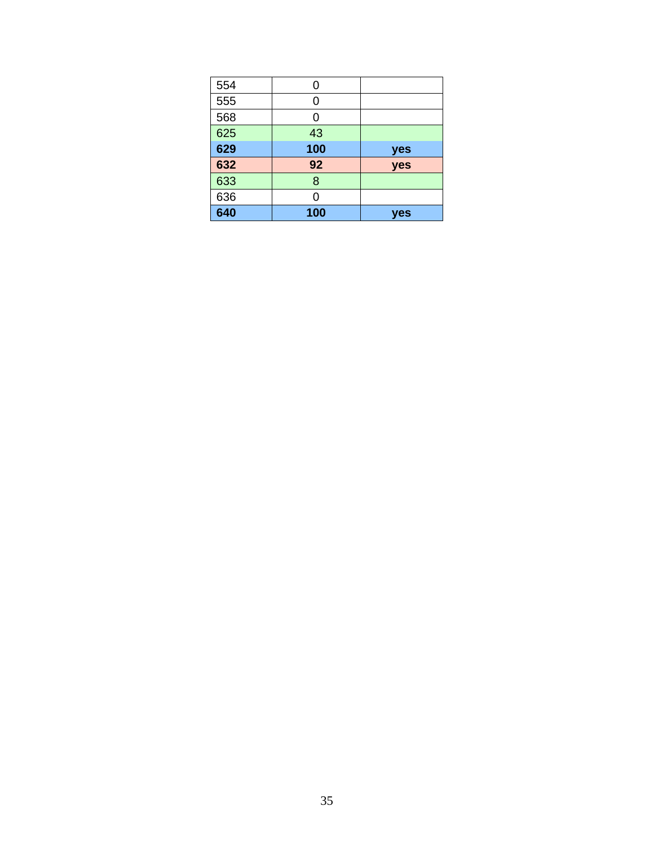| 554 | 0   |     |
|-----|-----|-----|
| 555 | ი   |     |
| 568 | 0   |     |
| 625 | 43  |     |
| 629 | 100 | yes |
| 632 | 92  | yes |
| 633 | 8   |     |
| 636 | በ   |     |
| 640 | 100 | yes |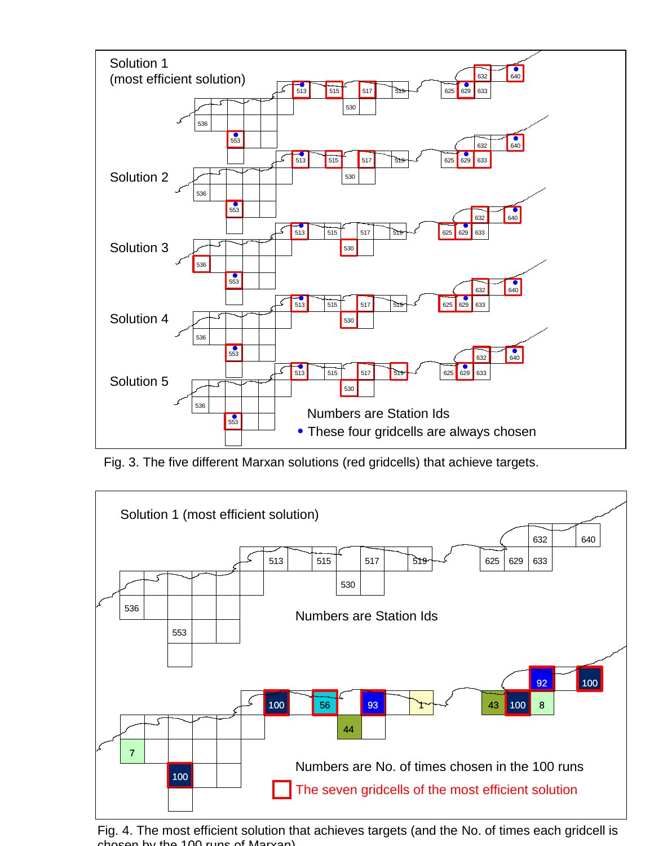

Fig. 3. The five different Marxan solutions (red gridcells) that achieve targets.



Fig. 4. The most efficient solution that achieves targets (and the No. of times each gridcell is boson by the runs of Maryan).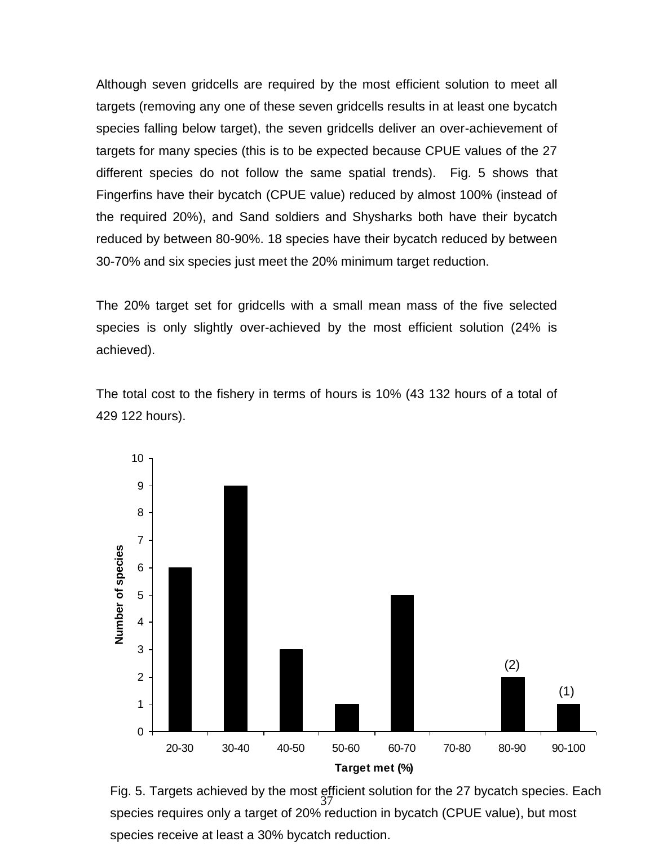Although seven gridcells are required by the most efficient solution to meet all targets (removing any one of these seven gridcells results in at least one bycatch species falling below target), the seven gridcells deliver an over-achievement of targets for many species (this is to be expected because CPUE values of the 27 different species do not follow the same spatial trends). Fig. 5 shows that Fingerfins have their bycatch (CPUE value) reduced by almost 100% (instead of the required 20%), and Sand soldiers and Shysharks both have their bycatch reduced by between 80-90%. 18 species have their bycatch reduced by between 30-70% and six species just meet the 20% minimum target reduction.

The 20% target set for gridcells with a small mean mass of the five selected species is only slightly over-achieved by the most efficient solution (24% is achieved).

The total cost to the fishery in terms of hours is 10% (43 132 hours of a total of 429 122 hours).



37 Fig. 5. Targets achieved by the most efficient solution for the 27 bycatch species. Each species requires only a target of 20% reduction in bycatch (CPUE value), but most species receive at least a 30% bycatch reduction.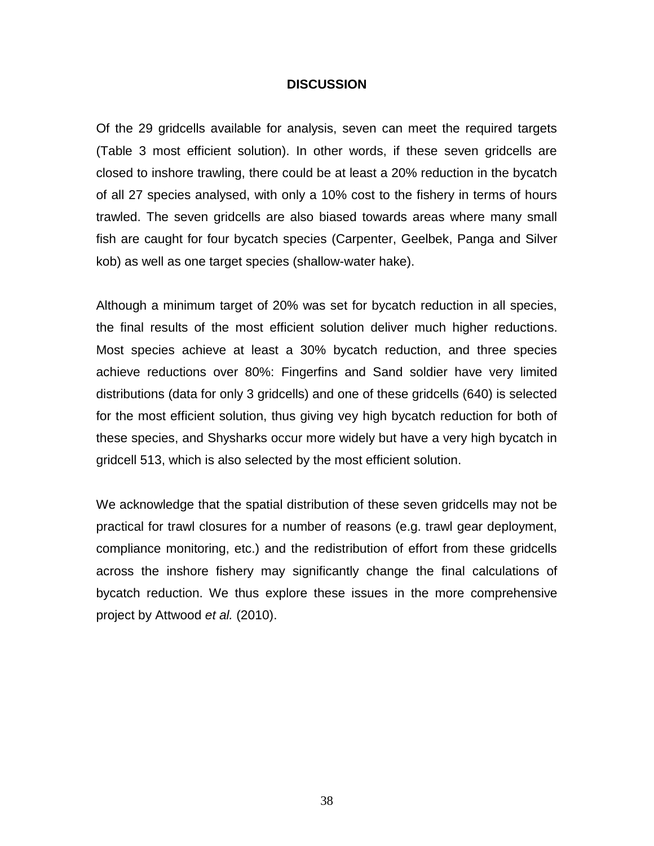### **DISCUSSION**

Of the 29 gridcells available for analysis, seven can meet the required targets (Table 3 most efficient solution). In other words, if these seven gridcells are closed to inshore trawling, there could be at least a 20% reduction in the bycatch of all 27 species analysed, with only a 10% cost to the fishery in terms of hours trawled. The seven gridcells are also biased towards areas where many small fish are caught for four bycatch species (Carpenter, Geelbek, Panga and Silver kob) as well as one target species (shallow-water hake).

Although a minimum target of 20% was set for bycatch reduction in all species, the final results of the most efficient solution deliver much higher reductions. Most species achieve at least a 30% bycatch reduction, and three species achieve reductions over 80%: Fingerfins and Sand soldier have very limited distributions (data for only 3 gridcells) and one of these gridcells (640) is selected for the most efficient solution, thus giving vey high bycatch reduction for both of these species, and Shysharks occur more widely but have a very high bycatch in gridcell 513, which is also selected by the most efficient solution.

We acknowledge that the spatial distribution of these seven gridcells may not be practical for trawl closures for a number of reasons (e.g. trawl gear deployment, compliance monitoring, etc.) and the redistribution of effort from these gridcells across the inshore fishery may significantly change the final calculations of bycatch reduction. We thus explore these issues in the more comprehensive project by Attwood *et al.* (2010).